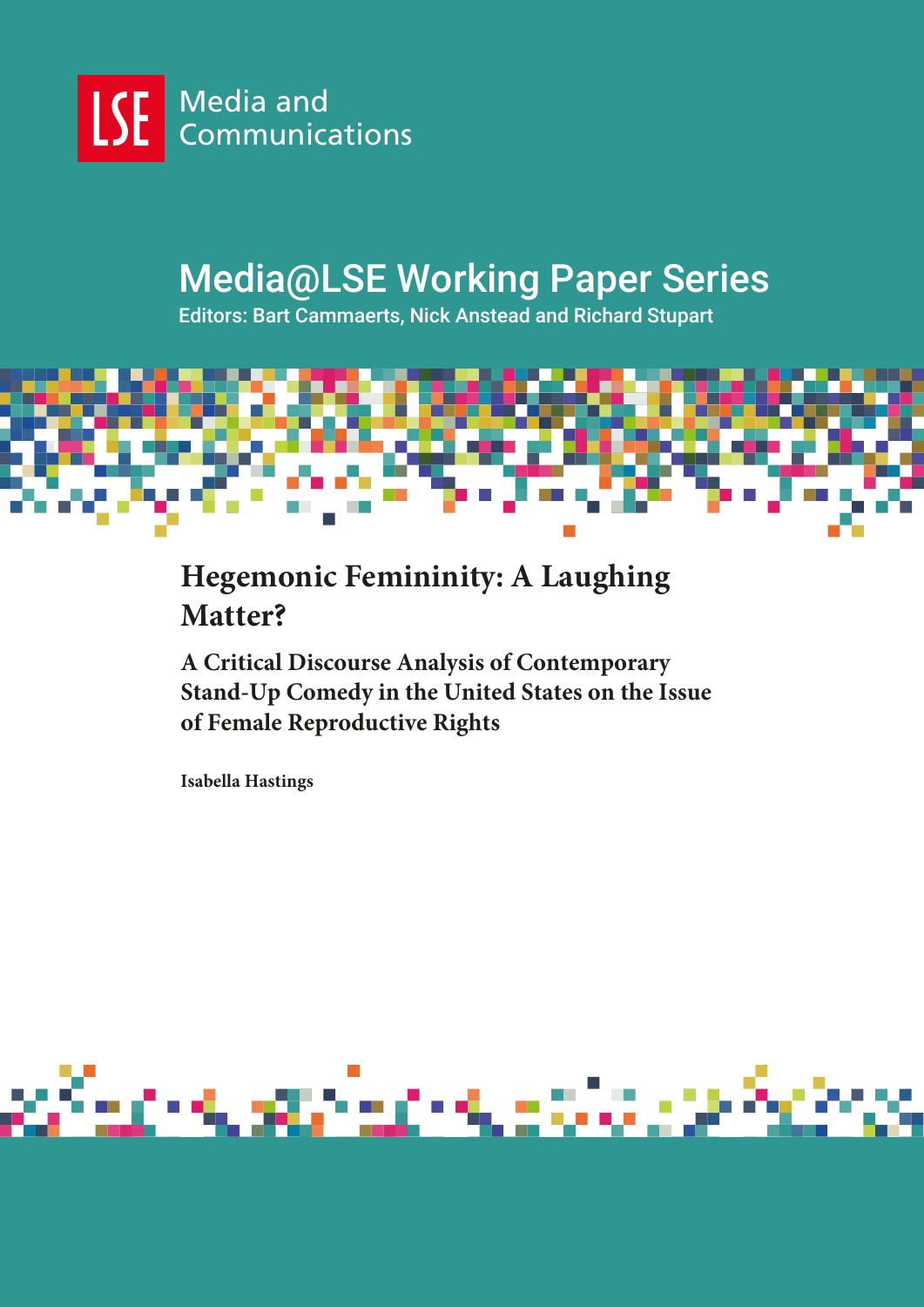

# Media@LSE Working Paper Series

Editors: Bart Cammaerts, Nick Anstead and Richard Stupart



# **Hegemonic Femininity: A Laughing Matter?**

**A Critical Discourse Analysis of Contemporary Stand-Up Comedy in the United States on the Issue of Female Reproductive Rights**

**Isabella Hastings**

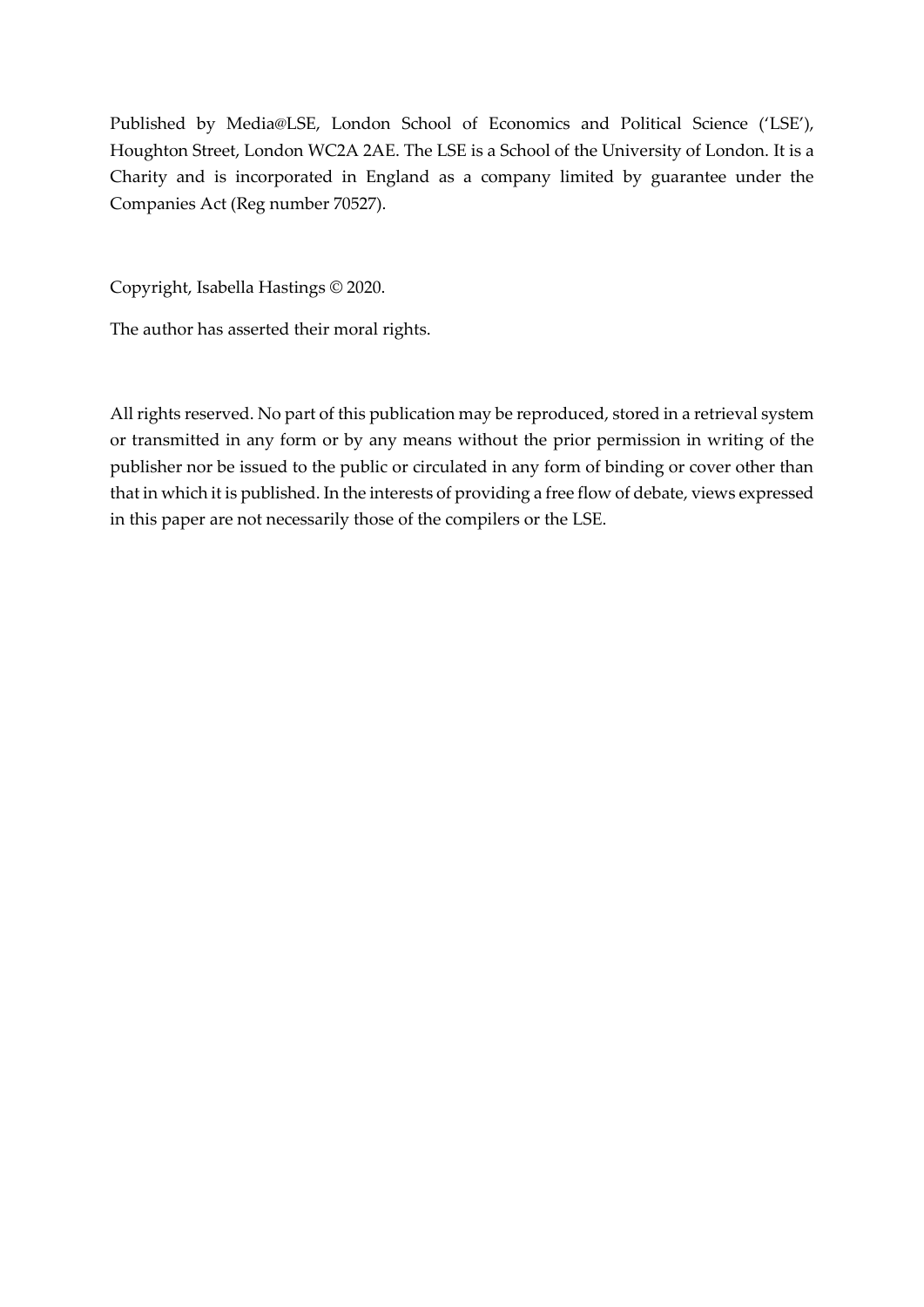Published by Media@LSE, London School of Economics and Political Science ('LSE'), Houghton Street, London WC2A 2AE. The LSE is a School of the University of London. It is a Charity and is incorporated in England as a company limited by guarantee under the Companies Act (Reg number 70527).

Copyright, Isabella Hastings © 2020.

The author has asserted their moral rights.

All rights reserved. No part of this publication may be reproduced, stored in a retrieval system or transmitted in any form or by any means without the prior permission in writing of the publisher nor be issued to the public or circulated in any form of binding or cover other than that in which it is published. In the interests of providing a free flow of debate, views expressed in this paper are not necessarily those of the compilers or the LSE.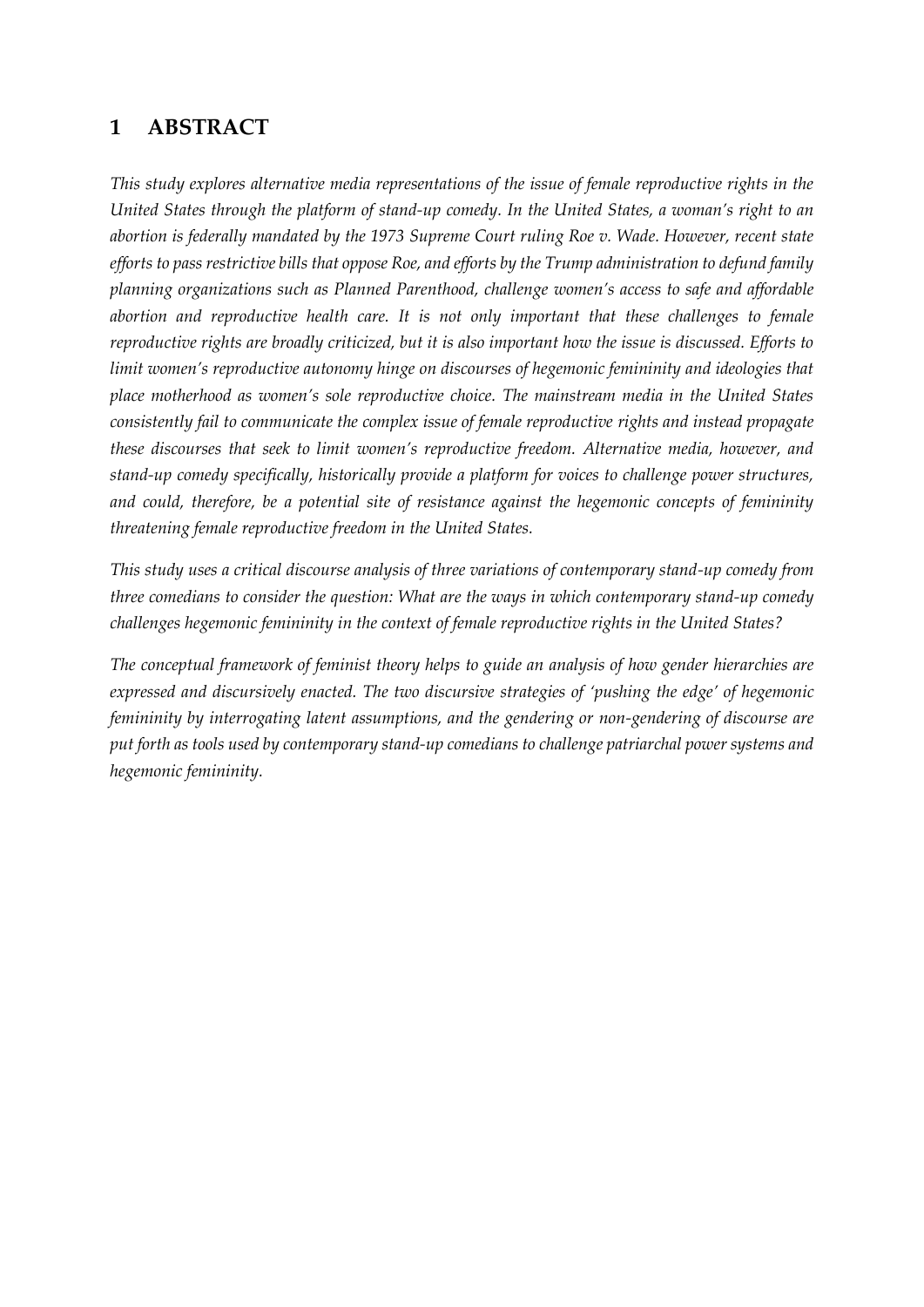# **1 ABSTRACT**

*This study explores alternative media representations of the issue of female reproductive rights in the United States through the platform of stand-up comedy. In the United States, a woman's right to an abortion is federally mandated by the 1973 Supreme Court ruling Roe v. Wade. However, recent state efforts to pass restrictive bills that oppose Roe, and efforts by the Trump administration to defund family planning organizations such as Planned Parenthood, challenge women's access to safe and affordable abortion and reproductive health care. It is not only important that these challenges to female reproductive rights are broadly criticized, but it is also important how the issue is discussed. Efforts to limit women's reproductive autonomy hinge on discourses of hegemonic femininity and ideologies that place motherhood as women's sole reproductive choice. The mainstream media in the United States consistently fail to communicate the complex issue of female reproductive rights and instead propagate these discourses that seek to limit women's reproductive freedom. Alternative media, however, and stand-up comedy specifically, historically provide a platform for voices to challenge power structures, and could, therefore, be a potential site of resistance against the hegemonic concepts of femininity threatening female reproductive freedom in the United States.*

*This study uses a critical discourse analysis of three variations of contemporary stand-up comedy from three comedians to consider the question: What are the ways in which contemporary stand-up comedy challenges hegemonic femininity in the context of female reproductive rights in the United States?*

*The conceptual framework of feminist theory helps to guide an analysis of how gender hierarchies are expressed and discursively enacted. The two discursive strategies of 'pushing the edge' of hegemonic femininity by interrogating latent assumptions, and the gendering or non-gendering of discourse are put forth as tools used by contemporary stand-up comedians to challenge patriarchal power systems and hegemonic femininity.*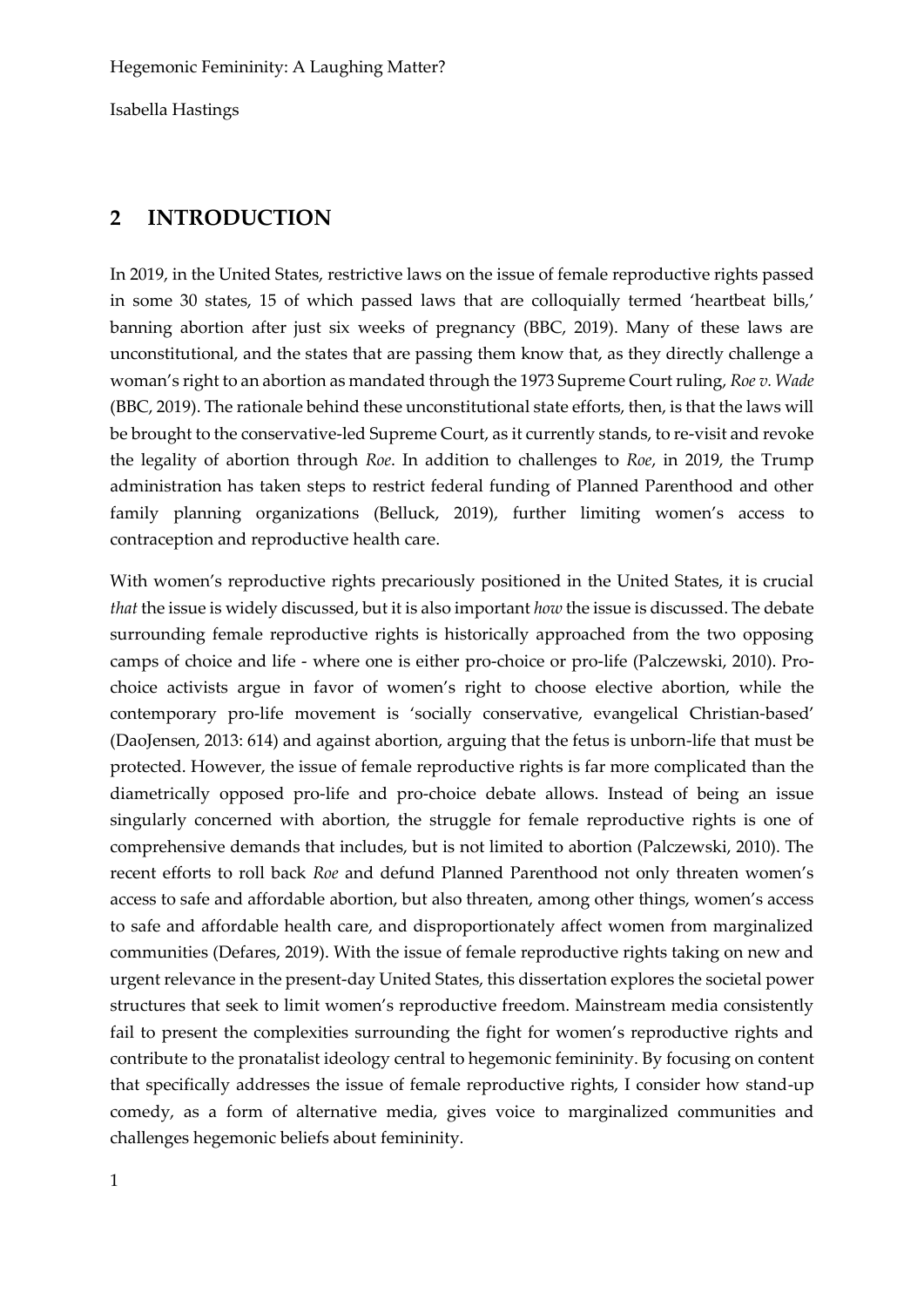# **2 INTRODUCTION**

In 2019, in the United States, restrictive laws on the issue of female reproductive rights passed in some 30 states, 15 of which passed laws that are colloquially termed 'heartbeat bills,' banning abortion after just six weeks of pregnancy (BBC, 2019). Many of these laws are unconstitutional, and the states that are passing them know that, as they directly challenge a woman's right to an abortion as mandated through the 1973 Supreme Court ruling, *Roe v. Wade* (BBC, 2019). The rationale behind these unconstitutional state efforts, then, is that the laws will be brought to the conservative-led Supreme Court, as it currently stands, to re-visit and revoke the legality of abortion through *Roe*. In addition to challenges to *Roe*, in 2019, the Trump administration has taken steps to restrict federal funding of Planned Parenthood and other family planning organizations (Belluck, 2019), further limiting women's access to contraception and reproductive health care.

With women's reproductive rights precariously positioned in the United States, it is crucial *that* the issue is widely discussed, but it is also important *how* the issue is discussed. The debate surrounding female reproductive rights is historically approached from the two opposing camps of choice and life - where one is either pro-choice or pro-life (Palczewski, 2010). Prochoice activists argue in favor of women's right to choose elective abortion, while the contemporary pro-life movement is 'socially conservative, evangelical Christian-based' (DaoJensen, 2013: 614) and against abortion, arguing that the fetus is unborn-life that must be protected. However, the issue of female reproductive rights is far more complicated than the diametrically opposed pro-life and pro-choice debate allows. Instead of being an issue singularly concerned with abortion, the struggle for female reproductive rights is one of comprehensive demands that includes, but is not limited to abortion (Palczewski, 2010). The recent efforts to roll back *Roe* and defund Planned Parenthood not only threaten women's access to safe and affordable abortion, but also threaten, among other things, women's access to safe and affordable health care, and disproportionately affect women from marginalized communities (Defares, 2019). With the issue of female reproductive rights taking on new and urgent relevance in the present-day United States, this dissertation explores the societal power structures that seek to limit women's reproductive freedom. Mainstream media consistently fail to present the complexities surrounding the fight for women's reproductive rights and contribute to the pronatalist ideology central to hegemonic femininity. By focusing on content that specifically addresses the issue of female reproductive rights, I consider how stand-up comedy, as a form of alternative media, gives voice to marginalized communities and challenges hegemonic beliefs about femininity.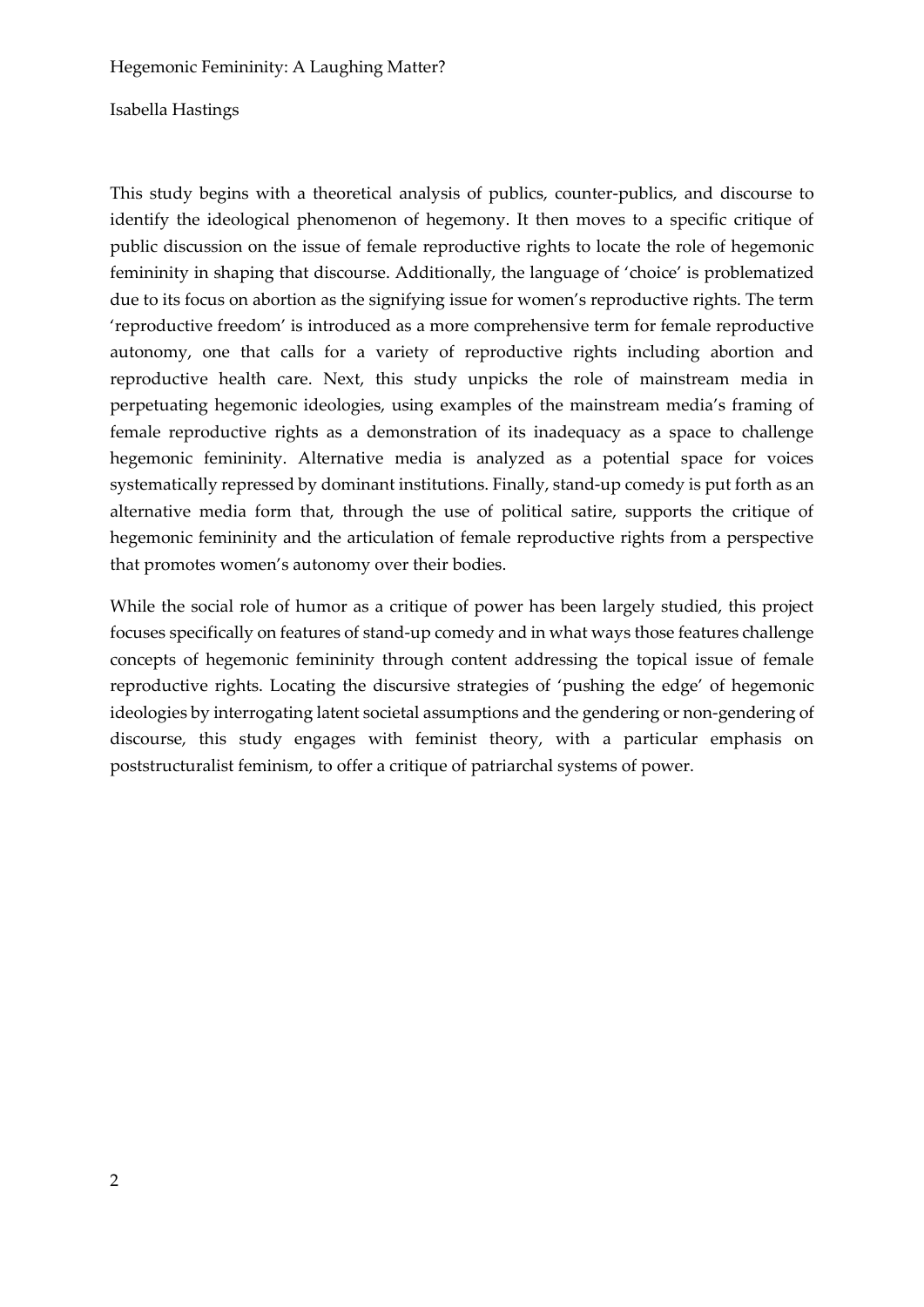#### Isabella Hastings

This study begins with a theoretical analysis of publics, counter-publics, and discourse to identify the ideological phenomenon of hegemony. It then moves to a specific critique of public discussion on the issue of female reproductive rights to locate the role of hegemonic femininity in shaping that discourse. Additionally, the language of 'choice' is problematized due to its focus on abortion as the signifying issue for women's reproductive rights. The term 'reproductive freedom' is introduced as a more comprehensive term for female reproductive autonomy, one that calls for a variety of reproductive rights including abortion and reproductive health care. Next, this study unpicks the role of mainstream media in perpetuating hegemonic ideologies, using examples of the mainstream media's framing of female reproductive rights as a demonstration of its inadequacy as a space to challenge hegemonic femininity. Alternative media is analyzed as a potential space for voices systematically repressed by dominant institutions. Finally, stand-up comedy is put forth as an alternative media form that, through the use of political satire, supports the critique of hegemonic femininity and the articulation of female reproductive rights from a perspective that promotes women's autonomy over their bodies.

While the social role of humor as a critique of power has been largely studied, this project focuses specifically on features of stand-up comedy and in what ways those features challenge concepts of hegemonic femininity through content addressing the topical issue of female reproductive rights. Locating the discursive strategies of 'pushing the edge' of hegemonic ideologies by interrogating latent societal assumptions and the gendering or non-gendering of discourse, this study engages with feminist theory, with a particular emphasis on poststructuralist feminism, to offer a critique of patriarchal systems of power.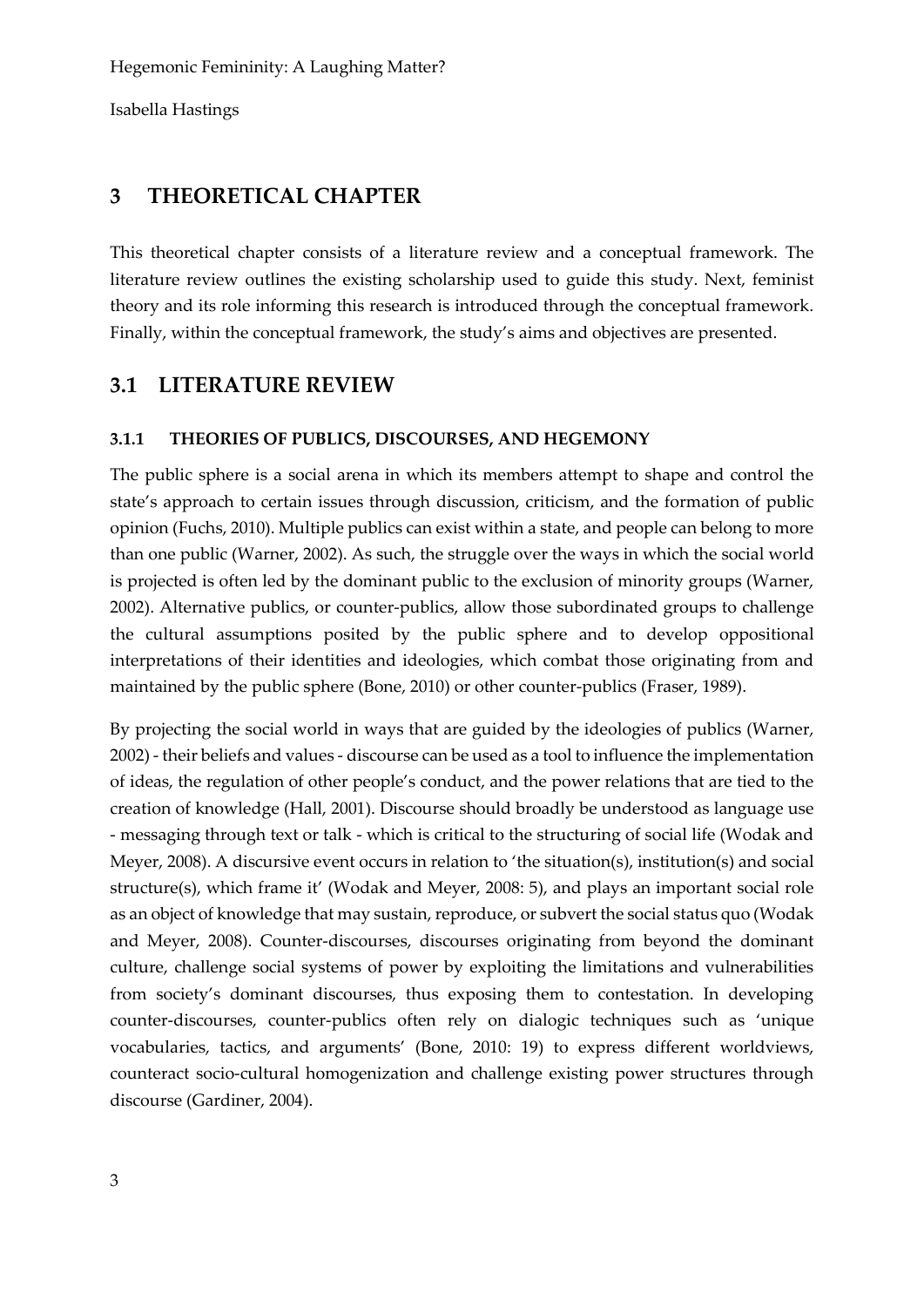# **3 THEORETICAL CHAPTER**

This theoretical chapter consists of a literature review and a conceptual framework. The literature review outlines the existing scholarship used to guide this study. Next, feminist theory and its role informing this research is introduced through the conceptual framework. Finally, within the conceptual framework, the study's aims and objectives are presented.

# **3.1 LITERATURE REVIEW**

### **3.1.1 THEORIES OF PUBLICS, DISCOURSES, AND HEGEMONY**

The public sphere is a social arena in which its members attempt to shape and control the state's approach to certain issues through discussion, criticism, and the formation of public opinion (Fuchs, 2010). Multiple publics can exist within a state, and people can belong to more than one public (Warner, 2002). As such, the struggle over the ways in which the social world is projected is often led by the dominant public to the exclusion of minority groups (Warner, 2002). Alternative publics, or counter-publics, allow those subordinated groups to challenge the cultural assumptions posited by the public sphere and to develop oppositional interpretations of their identities and ideologies, which combat those originating from and maintained by the public sphere (Bone, 2010) or other counter-publics (Fraser, 1989).

By projecting the social world in ways that are guided by the ideologies of publics (Warner, 2002) - their beliefs and values - discourse can be used as a tool to influence the implementation of ideas, the regulation of other people's conduct, and the power relations that are tied to the creation of knowledge (Hall, 2001). Discourse should broadly be understood as language use - messaging through text or talk - which is critical to the structuring of social life (Wodak and Meyer, 2008). A discursive event occurs in relation to 'the situation(s), institution(s) and social structure(s), which frame it' (Wodak and Meyer, 2008: 5), and plays an important social role as an object of knowledge that may sustain, reproduce, or subvert the social status quo (Wodak and Meyer, 2008). Counter-discourses, discourses originating from beyond the dominant culture, challenge social systems of power by exploiting the limitations and vulnerabilities from society's dominant discourses, thus exposing them to contestation. In developing counter-discourses, counter-publics often rely on dialogic techniques such as 'unique vocabularies, tactics, and arguments' (Bone, 2010: 19) to express different worldviews, counteract socio-cultural homogenization and challenge existing power structures through discourse (Gardiner, 2004).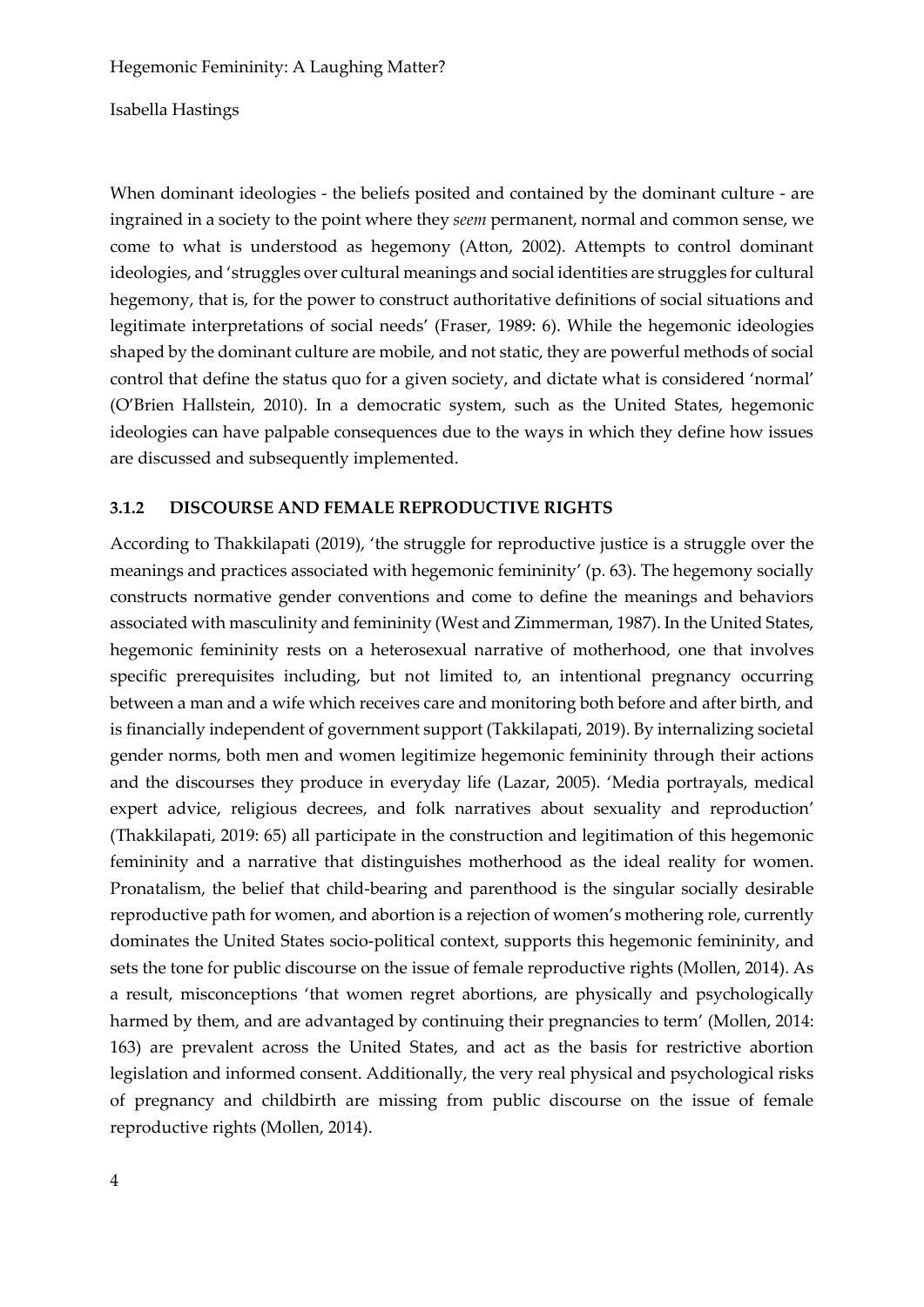Isabella Hastings

When dominant ideologies - the beliefs posited and contained by the dominant culture - are ingrained in a society to the point where they *seem* permanent, normal and common sense, we come to what is understood as hegemony (Atton, 2002). Attempts to control dominant ideologies, and 'struggles over cultural meanings and social identities are struggles for cultural hegemony, that is, for the power to construct authoritative definitions of social situations and legitimate interpretations of social needs' (Fraser, 1989: 6). While the hegemonic ideologies shaped by the dominant culture are mobile, and not static, they are powerful methods of social control that define the status quo for a given society, and dictate what is considered 'normal' (O'Brien Hallstein, 2010). In a democratic system, such as the United States, hegemonic ideologies can have palpable consequences due to the ways in which they define how issues are discussed and subsequently implemented.

#### **3.1.2 DISCOURSE AND FEMALE REPRODUCTIVE RIGHTS**

According to Thakkilapati (2019), 'the struggle for reproductive justice is a struggle over the meanings and practices associated with hegemonic femininity' (p. 63). The hegemony socially constructs normative gender conventions and come to define the meanings and behaviors associated with masculinity and femininity (West and Zimmerman, 1987). In the United States, hegemonic femininity rests on a heterosexual narrative of motherhood, one that involves specific prerequisites including, but not limited to, an intentional pregnancy occurring between a man and a wife which receives care and monitoring both before and after birth, and is financially independent of government support (Takkilapati, 2019). By internalizing societal gender norms, both men and women legitimize hegemonic femininity through their actions and the discourses they produce in everyday life (Lazar, 2005). 'Media portrayals, medical expert advice, religious decrees, and folk narratives about sexuality and reproduction' (Thakkilapati, 2019: 65) all participate in the construction and legitimation of this hegemonic femininity and a narrative that distinguishes motherhood as the ideal reality for women. Pronatalism, the belief that child-bearing and parenthood is the singular socially desirable reproductive path for women, and abortion is a rejection of women's mothering role, currently dominates the United States socio-political context, supports this hegemonic femininity, and sets the tone for public discourse on the issue of female reproductive rights (Mollen, 2014). As a result, misconceptions 'that women regret abortions, are physically and psychologically harmed by them, and are advantaged by continuing their pregnancies to term' (Mollen, 2014: 163) are prevalent across the United States, and act as the basis for restrictive abortion legislation and informed consent. Additionally, the very real physical and psychological risks of pregnancy and childbirth are missing from public discourse on the issue of female reproductive rights (Mollen, 2014).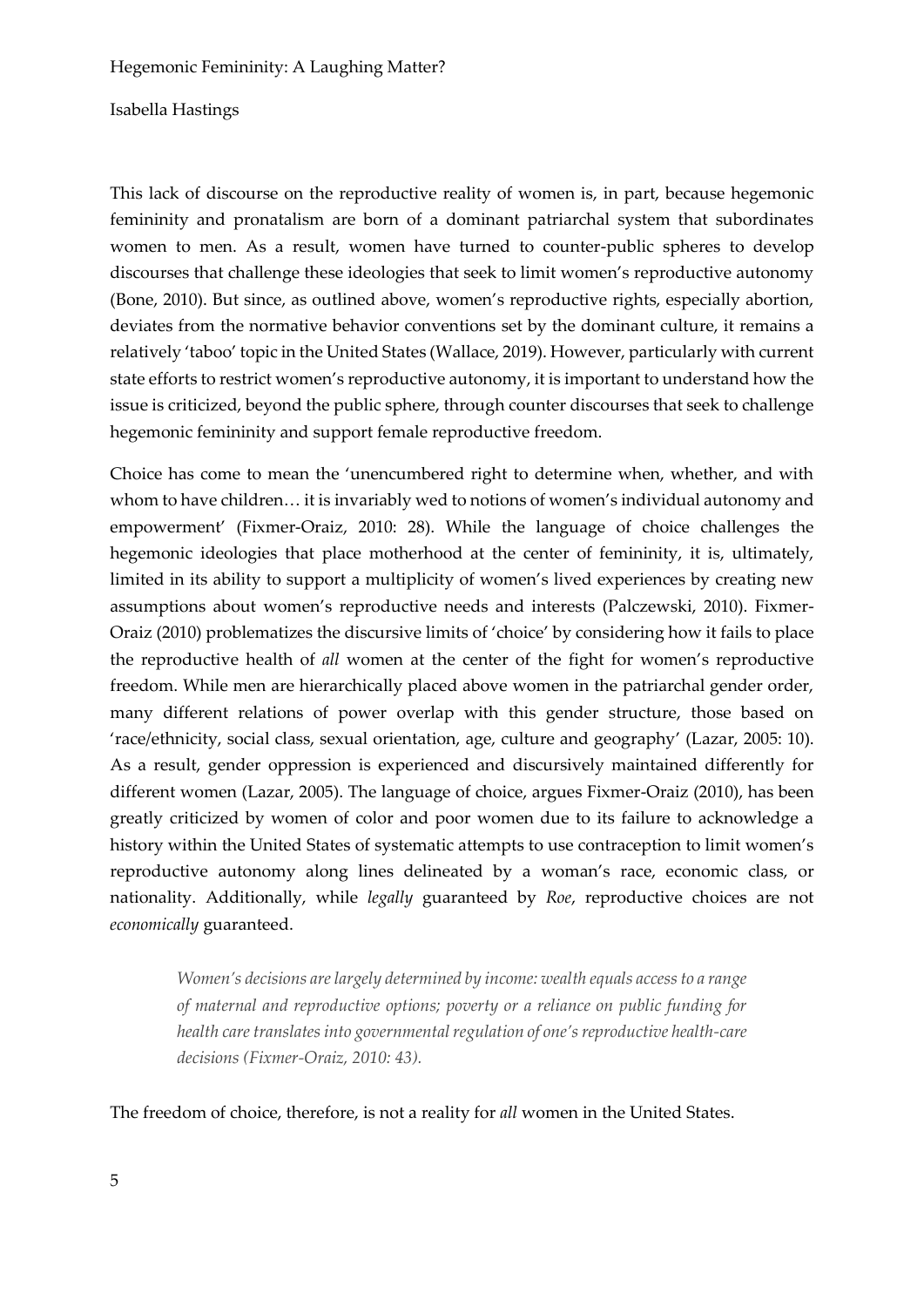#### Isabella Hastings

This lack of discourse on the reproductive reality of women is, in part, because hegemonic femininity and pronatalism are born of a dominant patriarchal system that subordinates women to men. As a result, women have turned to counter-public spheres to develop discourses that challenge these ideologies that seek to limit women's reproductive autonomy (Bone, 2010). But since, as outlined above, women's reproductive rights, especially abortion, deviates from the normative behavior conventions set by the dominant culture, it remains a relatively 'taboo' topic in the United States (Wallace, 2019). However, particularly with current state efforts to restrict women's reproductive autonomy, it is important to understand how the issue is criticized, beyond the public sphere, through counter discourses that seek to challenge hegemonic femininity and support female reproductive freedom.

Choice has come to mean the 'unencumbered right to determine when, whether, and with whom to have children… it is invariably wed to notions of women's individual autonomy and empowerment' (Fixmer-Oraiz, 2010: 28). While the language of choice challenges the hegemonic ideologies that place motherhood at the center of femininity, it is, ultimately, limited in its ability to support a multiplicity of women's lived experiences by creating new assumptions about women's reproductive needs and interests (Palczewski, 2010). Fixmer-Oraiz (2010) problematizes the discursive limits of 'choice' by considering how it fails to place the reproductive health of *all* women at the center of the fight for women's reproductive freedom. While men are hierarchically placed above women in the patriarchal gender order, many different relations of power overlap with this gender structure, those based on 'race/ethnicity, social class, sexual orientation, age, culture and geography' (Lazar, 2005: 10). As a result, gender oppression is experienced and discursively maintained differently for different women (Lazar, 2005). The language of choice, argues Fixmer-Oraiz (2010), has been greatly criticized by women of color and poor women due to its failure to acknowledge a history within the United States of systematic attempts to use contraception to limit women's reproductive autonomy along lines delineated by a woman's race, economic class, or nationality. Additionally, while *legally* guaranteed by *Roe*, reproductive choices are not *economically* guaranteed.

*Women's decisions are largely determined by income: wealth equals access to a range of maternal and reproductive options; poverty or a reliance on public funding for health care translates into governmental regulation of one's reproductive health-care decisions (Fixmer-Oraiz, 2010: 43).* 

The freedom of choice, therefore, is not a reality for *all* women in the United States.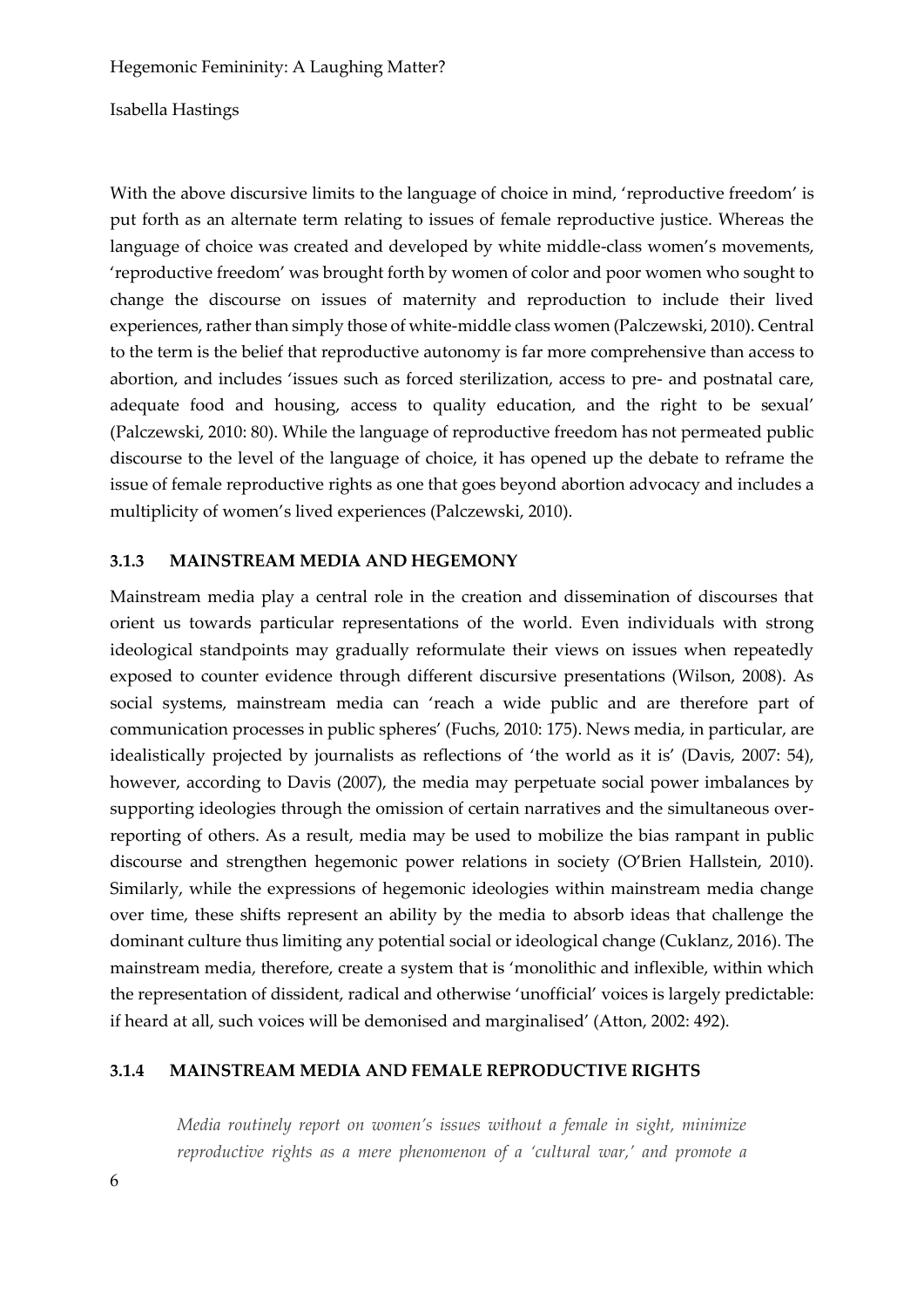Isabella Hastings

With the above discursive limits to the language of choice in mind, 'reproductive freedom' is put forth as an alternate term relating to issues of female reproductive justice. Whereas the language of choice was created and developed by white middle-class women's movements, 'reproductive freedom' was brought forth by women of color and poor women who sought to change the discourse on issues of maternity and reproduction to include their lived experiences, rather than simply those of white-middle class women (Palczewski, 2010). Central to the term is the belief that reproductive autonomy is far more comprehensive than access to abortion, and includes 'issues such as forced sterilization, access to pre- and postnatal care, adequate food and housing, access to quality education, and the right to be sexual' (Palczewski, 2010: 80). While the language of reproductive freedom has not permeated public discourse to the level of the language of choice, it has opened up the debate to reframe the issue of female reproductive rights as one that goes beyond abortion advocacy and includes a multiplicity of women's lived experiences (Palczewski, 2010).

#### **3.1.3 MAINSTREAM MEDIA AND HEGEMONY**

Mainstream media play a central role in the creation and dissemination of discourses that orient us towards particular representations of the world. Even individuals with strong ideological standpoints may gradually reformulate their views on issues when repeatedly exposed to counter evidence through different discursive presentations (Wilson, 2008). As social systems, mainstream media can 'reach a wide public and are therefore part of communication processes in public spheres' (Fuchs, 2010: 175). News media, in particular, are idealistically projected by journalists as reflections of 'the world as it is' (Davis, 2007: 54), however, according to Davis (2007), the media may perpetuate social power imbalances by supporting ideologies through the omission of certain narratives and the simultaneous overreporting of others. As a result, media may be used to mobilize the bias rampant in public discourse and strengthen hegemonic power relations in society (O'Brien Hallstein, 2010). Similarly, while the expressions of hegemonic ideologies within mainstream media change over time, these shifts represent an ability by the media to absorb ideas that challenge the dominant culture thus limiting any potential social or ideological change (Cuklanz, 2016). The mainstream media, therefore, create a system that is 'monolithic and inflexible, within which the representation of dissident, radical and otherwise 'unofficial' voices is largely predictable: if heard at all, such voices will be demonised and marginalised' (Atton, 2002: 492).

### **3.1.4 MAINSTREAM MEDIA AND FEMALE REPRODUCTIVE RIGHTS**

*Media routinely report on women's issues without a female in sight, minimize reproductive rights as a mere phenomenon of a 'cultural war,' and promote a*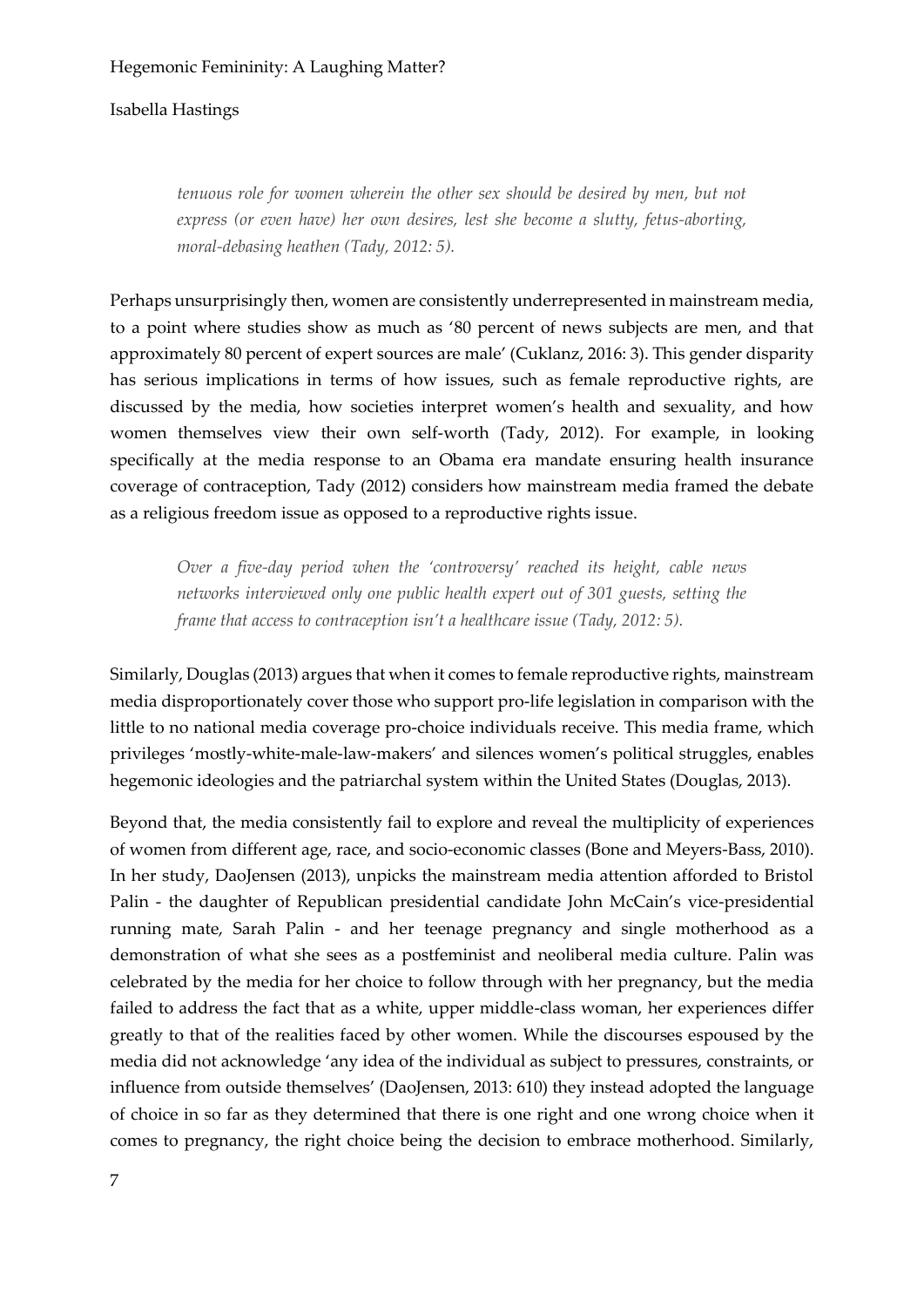### Isabella Hastings

*tenuous role for women wherein the other sex should be desired by men, but not express (or even have) her own desires, lest she become a slutty, fetus-aborting, moral-debasing heathen (Tady, 2012: 5).*

Perhaps unsurprisingly then, women are consistently underrepresented in mainstream media, to a point where studies show as much as '80 percent of news subjects are men, and that approximately 80 percent of expert sources are male' (Cuklanz, 2016: 3). This gender disparity has serious implications in terms of how issues, such as female reproductive rights, are discussed by the media, how societies interpret women's health and sexuality, and how women themselves view their own self-worth (Tady, 2012). For example, in looking specifically at the media response to an Obama era mandate ensuring health insurance coverage of contraception, Tady (2012) considers how mainstream media framed the debate as a religious freedom issue as opposed to a reproductive rights issue.

*Over a five-day period when the 'controversy' reached its height, cable news networks interviewed only one public health expert out of 301 guests, setting the frame that access to contraception isn't a healthcare issue (Tady, 2012: 5).* 

Similarly, Douglas (2013) argues that when it comes to female reproductive rights, mainstream media disproportionately cover those who support pro-life legislation in comparison with the little to no national media coverage pro-choice individuals receive. This media frame, which privileges 'mostly-white-male-law-makers' and silences women's political struggles, enables hegemonic ideologies and the patriarchal system within the United States (Douglas, 2013).

Beyond that, the media consistently fail to explore and reveal the multiplicity of experiences of women from different age, race, and socio-economic classes (Bone and Meyers-Bass, 2010). In her study, DaoJensen (2013), unpicks the mainstream media attention afforded to Bristol Palin - the daughter of Republican presidential candidate John McCain's vice-presidential running mate, Sarah Palin - and her teenage pregnancy and single motherhood as a demonstration of what she sees as a postfeminist and neoliberal media culture. Palin was celebrated by the media for her choice to follow through with her pregnancy, but the media failed to address the fact that as a white, upper middle-class woman, her experiences differ greatly to that of the realities faced by other women. While the discourses espoused by the media did not acknowledge 'any idea of the individual as subject to pressures, constraints, or influence from outside themselves' (DaoJensen, 2013: 610) they instead adopted the language of choice in so far as they determined that there is one right and one wrong choice when it comes to pregnancy, the right choice being the decision to embrace motherhood. Similarly,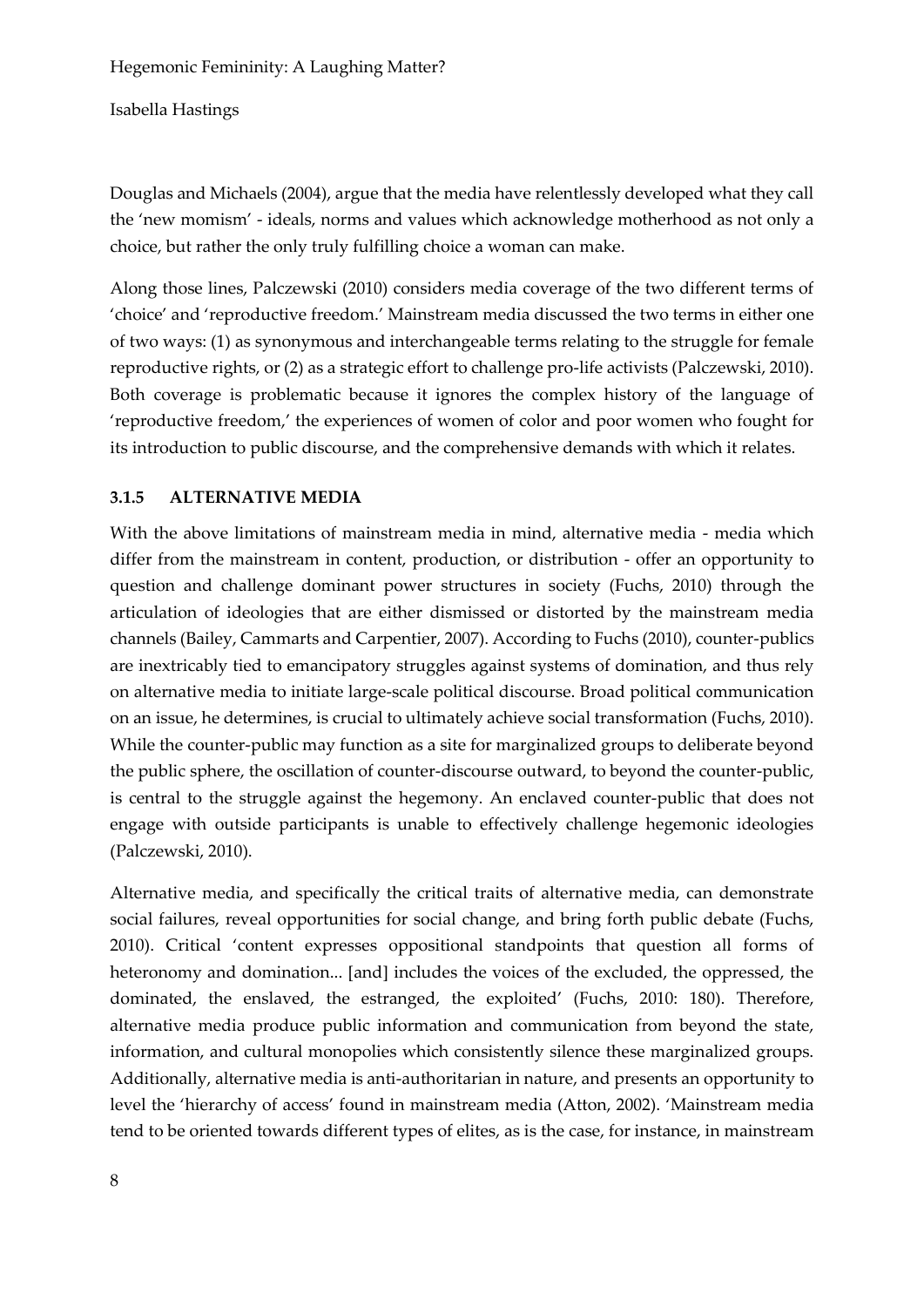Isabella Hastings

Douglas and Michaels (2004), argue that the media have relentlessly developed what they call the 'new momism' - ideals, norms and values which acknowledge motherhood as not only a choice, but rather the only truly fulfilling choice a woman can make.

Along those lines, Palczewski (2010) considers media coverage of the two different terms of 'choice' and 'reproductive freedom.' Mainstream media discussed the two terms in either one of two ways: (1) as synonymous and interchangeable terms relating to the struggle for female reproductive rights, or (2) as a strategic effort to challenge pro-life activists (Palczewski, 2010). Both coverage is problematic because it ignores the complex history of the language of 'reproductive freedom,' the experiences of women of color and poor women who fought for its introduction to public discourse, and the comprehensive demands with which it relates.

# **3.1.5 ALTERNATIVE MEDIA**

With the above limitations of mainstream media in mind, alternative media - media which differ from the mainstream in content, production, or distribution - offer an opportunity to question and challenge dominant power structures in society (Fuchs, 2010) through the articulation of ideologies that are either dismissed or distorted by the mainstream media channels (Bailey, Cammarts and Carpentier, 2007). According to Fuchs (2010), counter-publics are inextricably tied to emancipatory struggles against systems of domination, and thus rely on alternative media to initiate large-scale political discourse. Broad political communication on an issue, he determines, is crucial to ultimately achieve social transformation (Fuchs, 2010). While the counter-public may function as a site for marginalized groups to deliberate beyond the public sphere, the oscillation of counter-discourse outward, to beyond the counter-public, is central to the struggle against the hegemony. An enclaved counter-public that does not engage with outside participants is unable to effectively challenge hegemonic ideologies (Palczewski, 2010).

Alternative media, and specifically the critical traits of alternative media, can demonstrate social failures, reveal opportunities for social change, and bring forth public debate (Fuchs, 2010). Critical 'content expresses oppositional standpoints that question all forms of heteronomy and domination... [and] includes the voices of the excluded, the oppressed, the dominated, the enslaved, the estranged, the exploited' (Fuchs, 2010: 180). Therefore, alternative media produce public information and communication from beyond the state, information, and cultural monopolies which consistently silence these marginalized groups. Additionally, alternative media is anti-authoritarian in nature, and presents an opportunity to level the 'hierarchy of access' found in mainstream media (Atton, 2002). 'Mainstream media tend to be oriented towards different types of elites, as is the case, for instance, in mainstream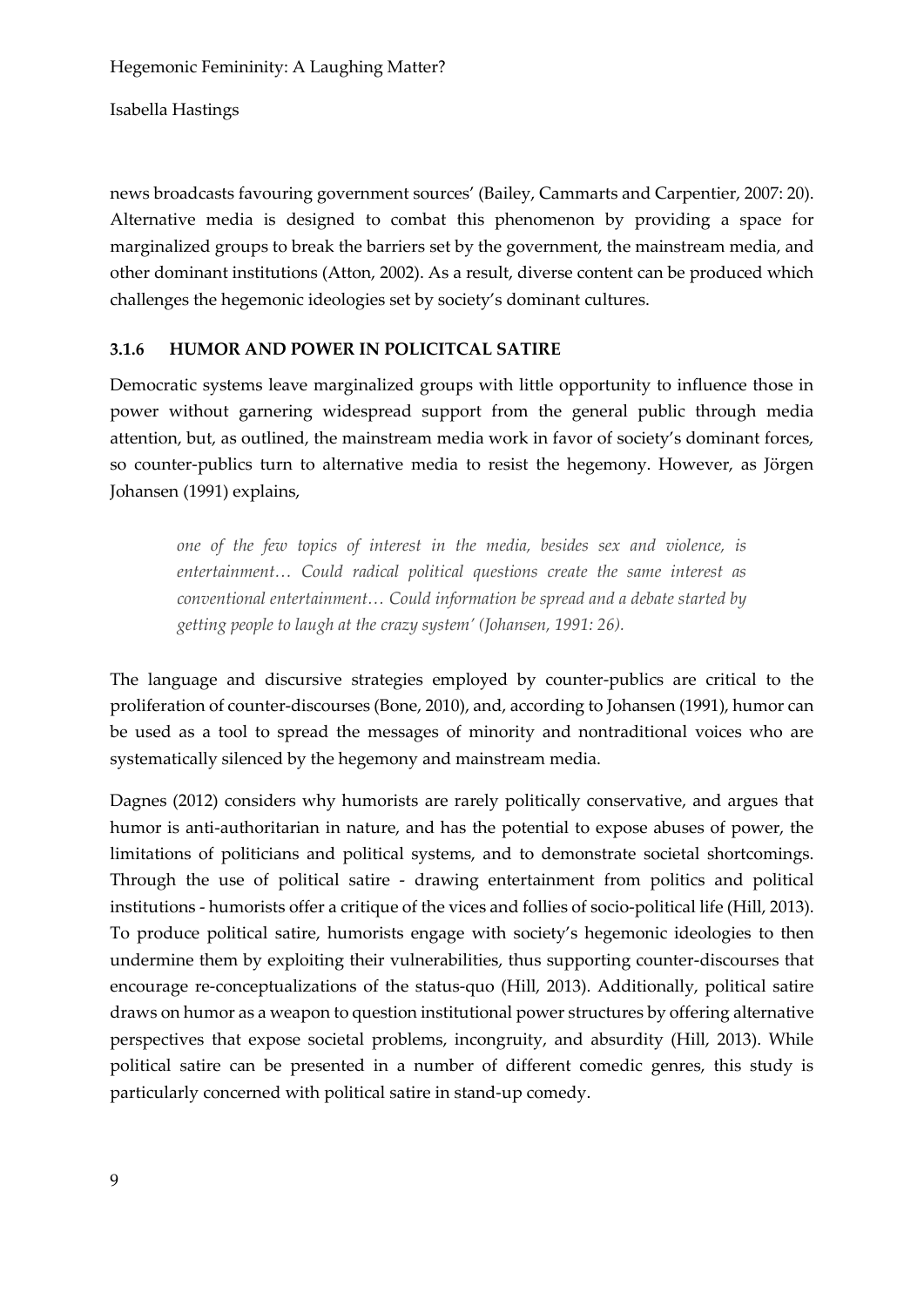Isabella Hastings

news broadcasts favouring government sources' (Bailey, Cammarts and Carpentier, 2007: 20). Alternative media is designed to combat this phenomenon by providing a space for marginalized groups to break the barriers set by the government, the mainstream media, and other dominant institutions (Atton, 2002). As a result, diverse content can be produced which challenges the hegemonic ideologies set by society's dominant cultures.

### **3.1.6 HUMOR AND POWER IN POLICITCAL SATIRE**

Democratic systems leave marginalized groups with little opportunity to influence those in power without garnering widespread support from the general public through media attention, but, as outlined, the mainstream media work in favor of society's dominant forces, so counter-publics turn to alternative media to resist the hegemony. However, as Jörgen Johansen (1991) explains,

*one of the few topics of interest in the media, besides sex and violence, is entertainment… Could radical political questions create the same interest as conventional entertainment… Could information be spread and a debate started by getting people to laugh at the crazy system' (Johansen, 1991: 26).* 

The language and discursive strategies employed by counter-publics are critical to the proliferation of counter-discourses (Bone, 2010), and, according to Johansen (1991), humor can be used as a tool to spread the messages of minority and nontraditional voices who are systematically silenced by the hegemony and mainstream media.

Dagnes (2012) considers why humorists are rarely politically conservative, and argues that humor is anti-authoritarian in nature, and has the potential to expose abuses of power, the limitations of politicians and political systems, and to demonstrate societal shortcomings. Through the use of political satire - drawing entertainment from politics and political institutions - humorists offer a critique of the vices and follies of socio-political life (Hill, 2013). To produce political satire, humorists engage with society's hegemonic ideologies to then undermine them by exploiting their vulnerabilities, thus supporting counter-discourses that encourage re-conceptualizations of the status-quo (Hill, 2013). Additionally, political satire draws on humor as a weapon to question institutional power structures by offering alternative perspectives that expose societal problems, incongruity, and absurdity (Hill, 2013). While political satire can be presented in a number of different comedic genres, this study is particularly concerned with political satire in stand-up comedy.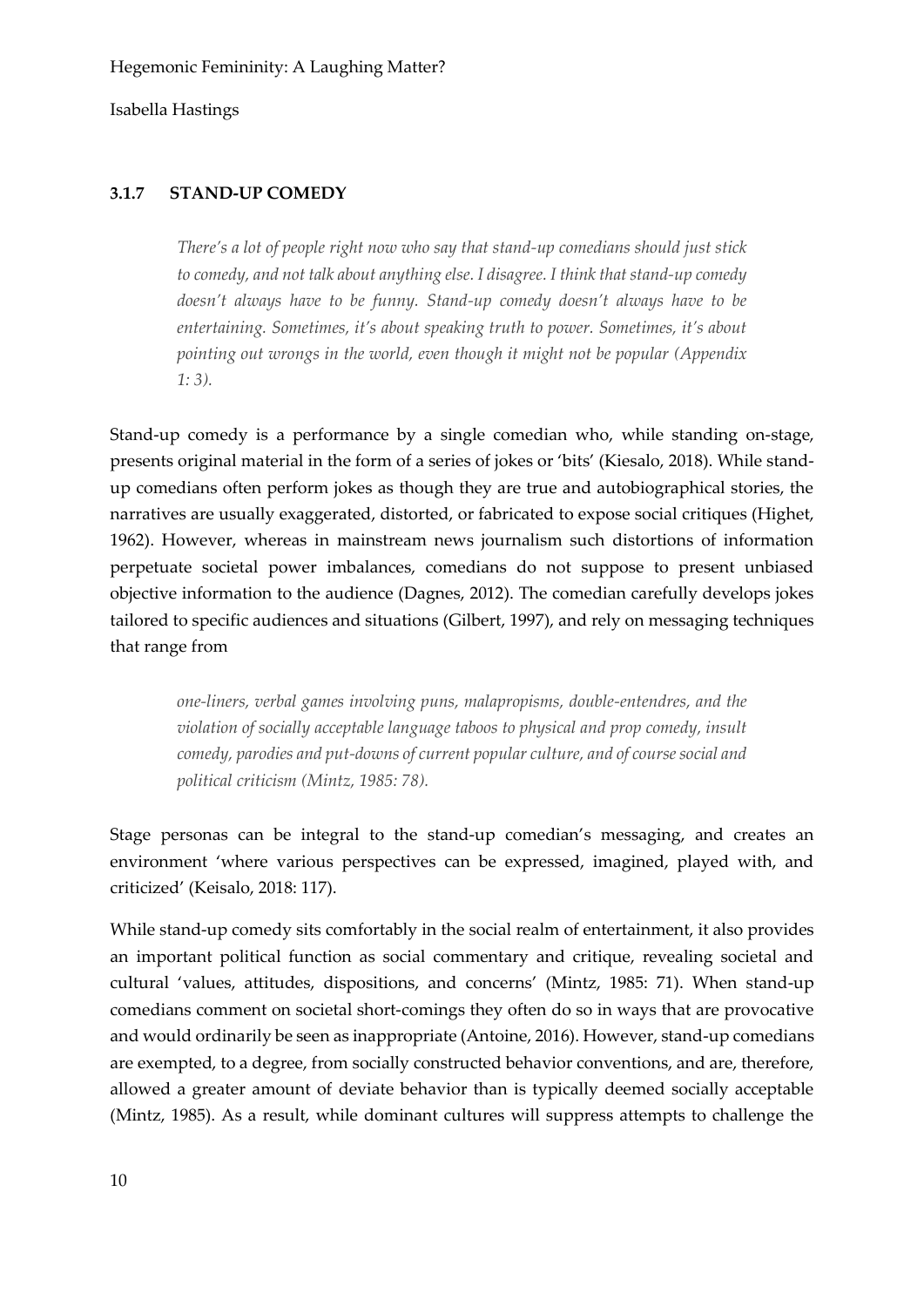#### **3.1.7 STAND-UP COMEDY**

*There's a lot of people right now who say that stand-up comedians should just stick to comedy, and not talk about anything else. I disagree. I think that stand-up comedy doesn't always have to be funny. Stand-up comedy doesn't always have to be entertaining. Sometimes, it's about speaking truth to power. Sometimes, it's about pointing out wrongs in the world, even though it might not be popular (Appendix 1: 3).*

Stand-up comedy is a performance by a single comedian who, while standing on-stage, presents original material in the form of a series of jokes or 'bits' (Kiesalo, 2018). While standup comedians often perform jokes as though they are true and autobiographical stories, the narratives are usually exaggerated, distorted, or fabricated to expose social critiques (Highet, 1962). However, whereas in mainstream news journalism such distortions of information perpetuate societal power imbalances, comedians do not suppose to present unbiased objective information to the audience (Dagnes, 2012). The comedian carefully develops jokes tailored to specific audiences and situations (Gilbert, 1997), and rely on messaging techniques that range from

*one-liners, verbal games involving puns, malapropisms, double-entendres, and the violation of socially acceptable language taboos to physical and prop comedy, insult comedy, parodies and put-downs of current popular culture, and of course social and political criticism (Mintz, 1985: 78).* 

Stage personas can be integral to the stand-up comedian's messaging, and creates an environment 'where various perspectives can be expressed, imagined, played with, and criticized' (Keisalo, 2018: 117).

While stand-up comedy sits comfortably in the social realm of entertainment, it also provides an important political function as social commentary and critique, revealing societal and cultural 'values, attitudes, dispositions, and concerns' (Mintz, 1985: 71). When stand-up comedians comment on societal short-comings they often do so in ways that are provocative and would ordinarily be seen as inappropriate (Antoine, 2016). However, stand-up comedians are exempted, to a degree, from socially constructed behavior conventions, and are, therefore, allowed a greater amount of deviate behavior than is typically deemed socially acceptable (Mintz, 1985). As a result, while dominant cultures will suppress attempts to challenge the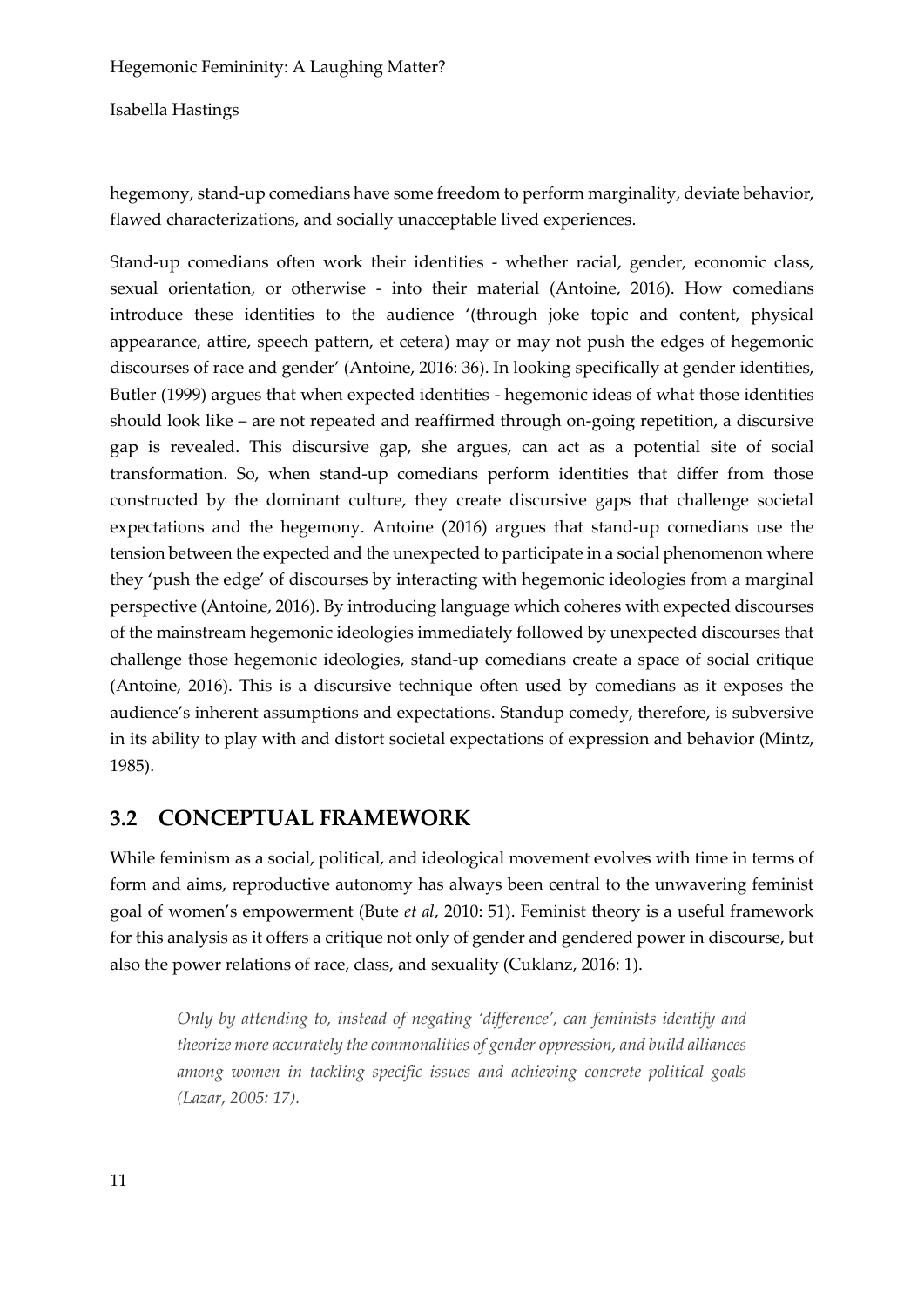Isabella Hastings

hegemony, stand-up comedians have some freedom to perform marginality, deviate behavior, flawed characterizations, and socially unacceptable lived experiences.

Stand-up comedians often work their identities - whether racial, gender, economic class, sexual orientation, or otherwise - into their material (Antoine, 2016). How comedians introduce these identities to the audience '(through joke topic and content, physical appearance, attire, speech pattern, et cetera) may or may not push the edges of hegemonic discourses of race and gender' (Antoine, 2016: 36). In looking specifically at gender identities, Butler (1999) argues that when expected identities - hegemonic ideas of what those identities should look like – are not repeated and reaffirmed through on-going repetition, a discursive gap is revealed. This discursive gap, she argues, can act as a potential site of social transformation. So, when stand-up comedians perform identities that differ from those constructed by the dominant culture, they create discursive gaps that challenge societal expectations and the hegemony. Antoine (2016) argues that stand-up comedians use the tension between the expected and the unexpected to participate in a social phenomenon where they 'push the edge' of discourses by interacting with hegemonic ideologies from a marginal perspective (Antoine, 2016). By introducing language which coheres with expected discourses of the mainstream hegemonic ideologies immediately followed by unexpected discourses that challenge those hegemonic ideologies, stand-up comedians create a space of social critique (Antoine, 2016). This is a discursive technique often used by comedians as it exposes the audience's inherent assumptions and expectations. Standup comedy, therefore, is subversive in its ability to play with and distort societal expectations of expression and behavior (Mintz, 1985).

# **3.2 CONCEPTUAL FRAMEWORK**

While feminism as a social, political, and ideological movement evolves with time in terms of form and aims, reproductive autonomy has always been central to the unwavering feminist goal of women's empowerment (Bute *et al*, 2010: 51). Feminist theory is a useful framework for this analysis as it offers a critique not only of gender and gendered power in discourse, but also the power relations of race, class, and sexuality (Cuklanz, 2016: 1).

*Only by attending to, instead of negating 'difference', can feminists identify and theorize more accurately the commonalities of gender oppression, and build alliances among women in tackling specific issues and achieving concrete political goals (Lazar, 2005: 17).*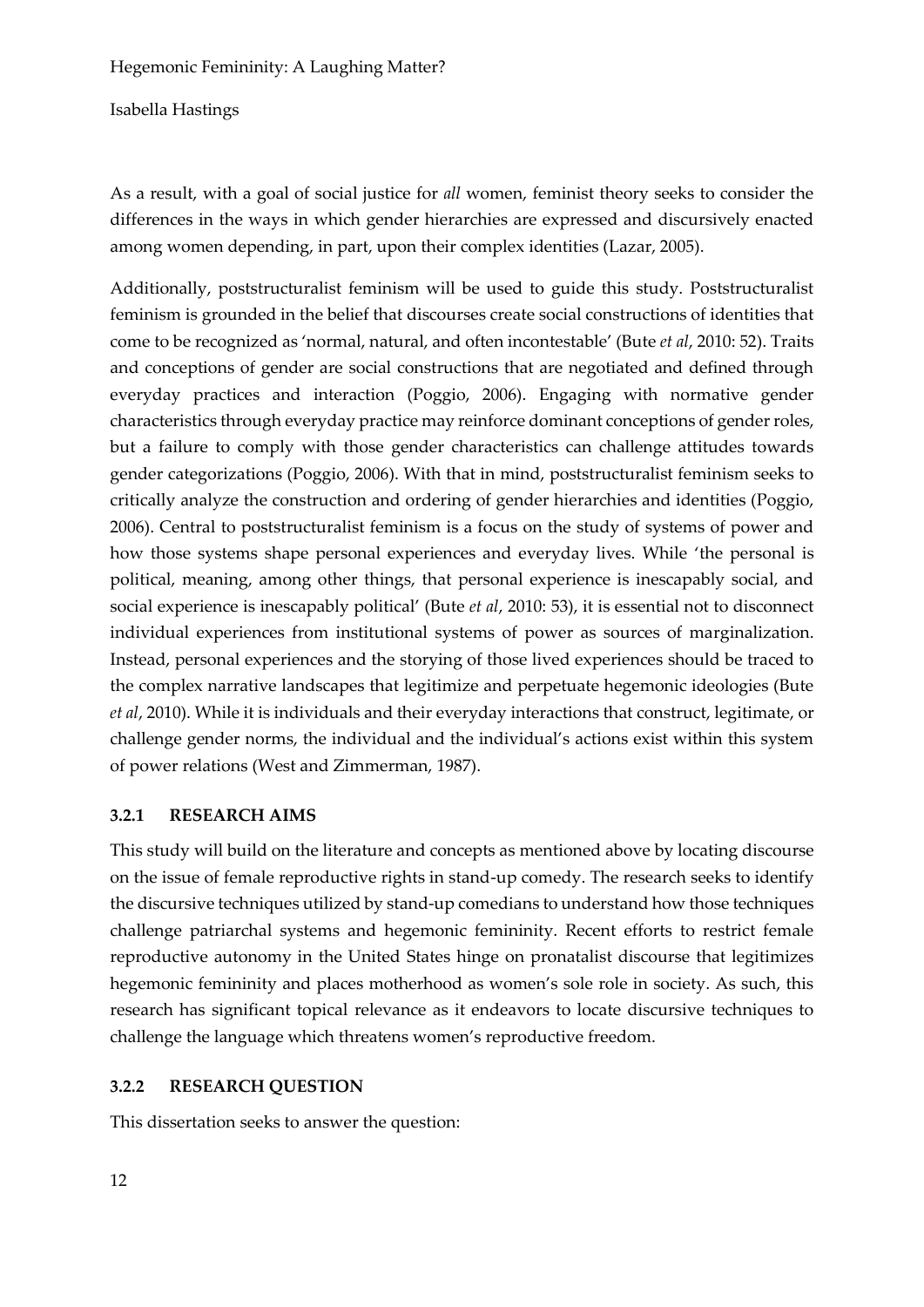Isabella Hastings

As a result, with a goal of social justice for *all* women, feminist theory seeks to consider the differences in the ways in which gender hierarchies are expressed and discursively enacted among women depending, in part, upon their complex identities (Lazar, 2005).

Additionally, poststructuralist feminism will be used to guide this study. Poststructuralist feminism is grounded in the belief that discourses create social constructions of identities that come to be recognized as 'normal, natural, and often incontestable' (Bute *et al*, 2010: 52). Traits and conceptions of gender are social constructions that are negotiated and defined through everyday practices and interaction (Poggio, 2006). Engaging with normative gender characteristics through everyday practice may reinforce dominant conceptions of gender roles, but a failure to comply with those gender characteristics can challenge attitudes towards gender categorizations (Poggio, 2006). With that in mind, poststructuralist feminism seeks to critically analyze the construction and ordering of gender hierarchies and identities (Poggio, 2006). Central to poststructuralist feminism is a focus on the study of systems of power and how those systems shape personal experiences and everyday lives. While 'the personal is political, meaning, among other things, that personal experience is inescapably social, and social experience is inescapably political' (Bute *et al*, 2010: 53), it is essential not to disconnect individual experiences from institutional systems of power as sources of marginalization. Instead, personal experiences and the storying of those lived experiences should be traced to the complex narrative landscapes that legitimize and perpetuate hegemonic ideologies (Bute *et al*, 2010). While it is individuals and their everyday interactions that construct, legitimate, or challenge gender norms, the individual and the individual's actions exist within this system of power relations (West and Zimmerman, 1987).

### **3.2.1 RESEARCH AIMS**

This study will build on the literature and concepts as mentioned above by locating discourse on the issue of female reproductive rights in stand-up comedy. The research seeks to identify the discursive techniques utilized by stand-up comedians to understand how those techniques challenge patriarchal systems and hegemonic femininity. Recent efforts to restrict female reproductive autonomy in the United States hinge on pronatalist discourse that legitimizes hegemonic femininity and places motherhood as women's sole role in society. As such, this research has significant topical relevance as it endeavors to locate discursive techniques to challenge the language which threatens women's reproductive freedom.

### **3.2.2 RESEARCH QUESTION**

This dissertation seeks to answer the question: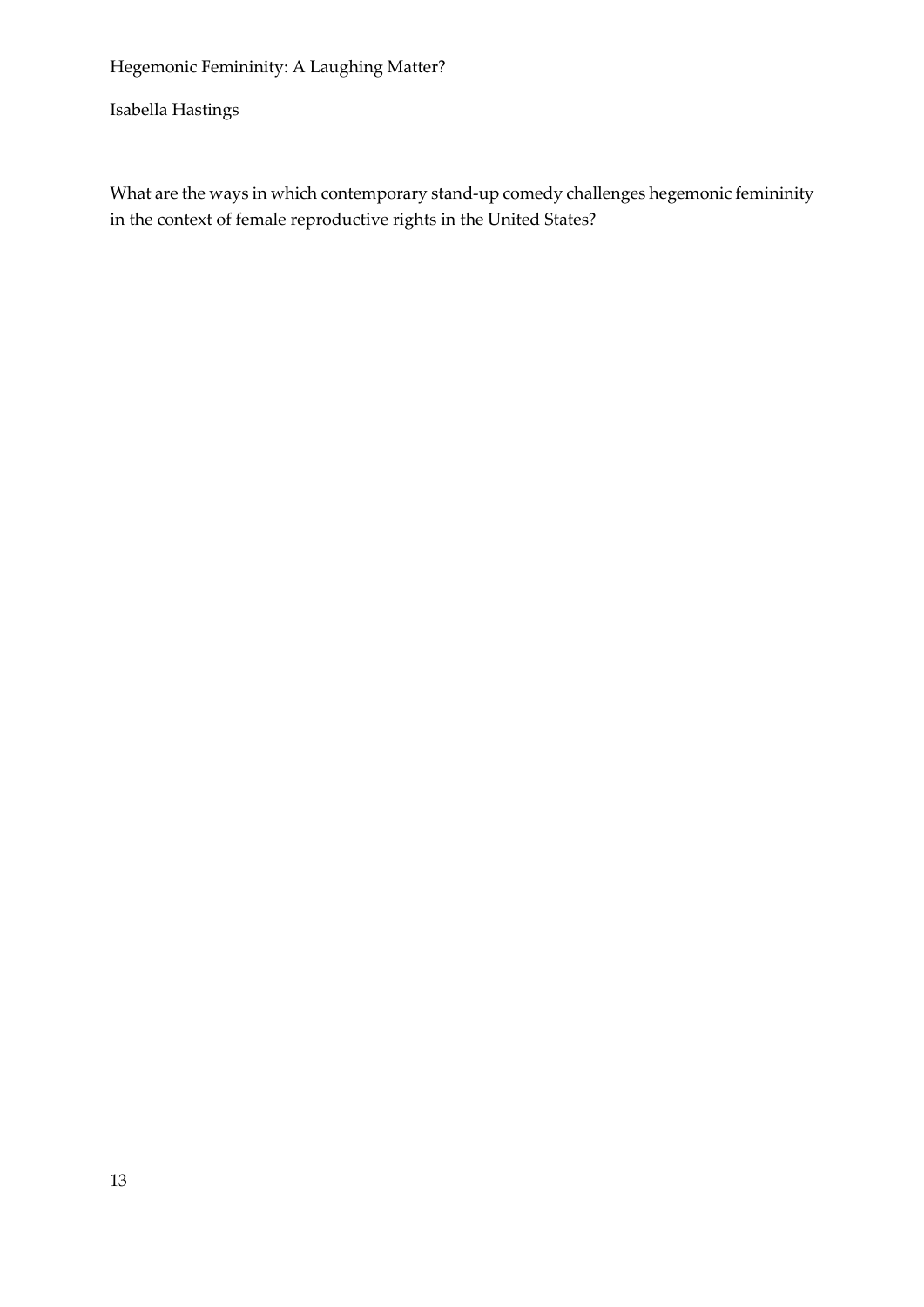Isabella Hastings

What are the ways in which contemporary stand-up comedy challenges hegemonic femininity in the context of female reproductive rights in the United States?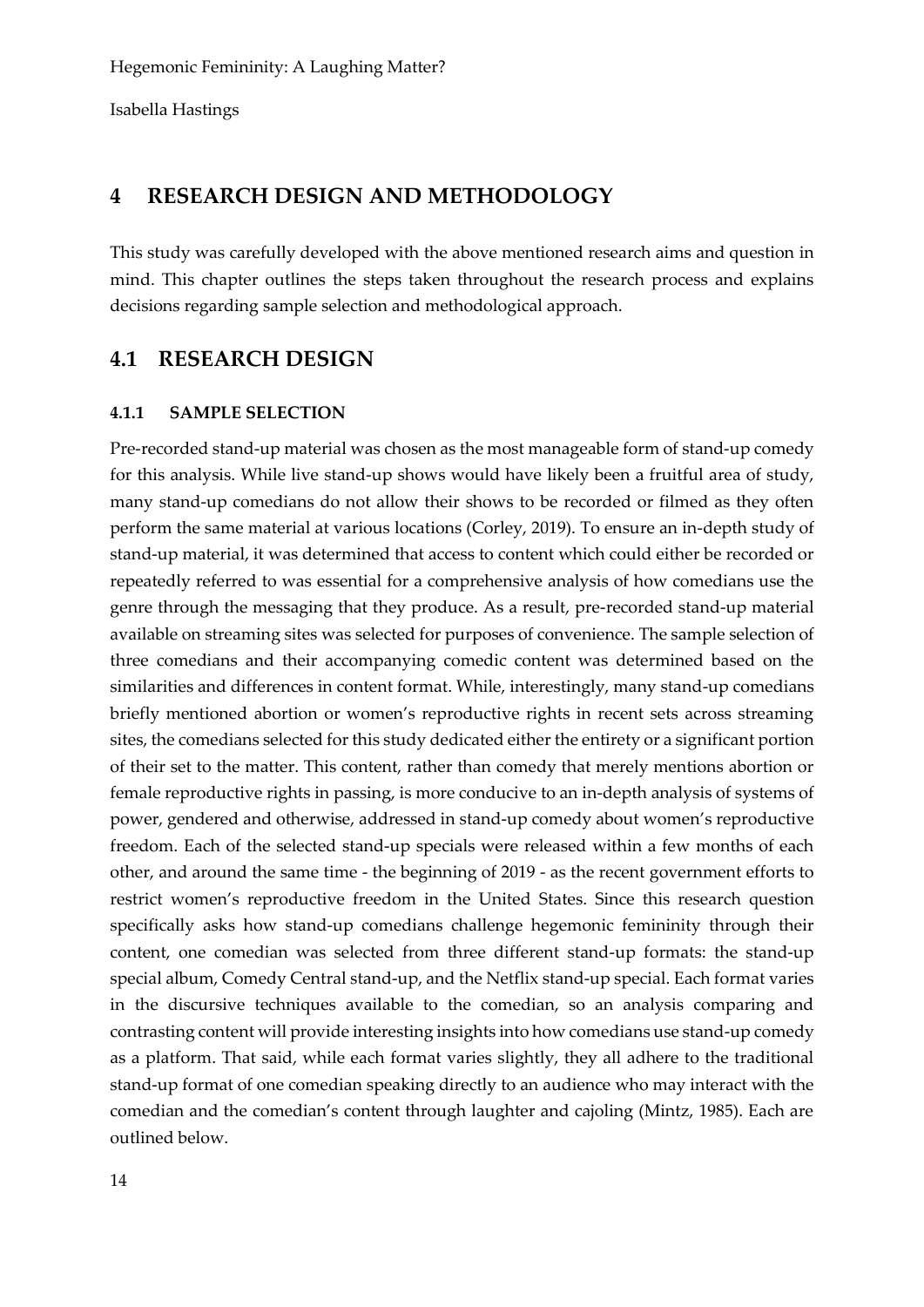# **4 RESEARCH DESIGN AND METHODOLOGY**

This study was carefully developed with the above mentioned research aims and question in mind. This chapter outlines the steps taken throughout the research process and explains decisions regarding sample selection and methodological approach.

# **4.1 RESEARCH DESIGN**

#### **4.1.1 SAMPLE SELECTION**

Pre-recorded stand-up material was chosen as the most manageable form of stand-up comedy for this analysis. While live stand-up shows would have likely been a fruitful area of study, many stand-up comedians do not allow their shows to be recorded or filmed as they often perform the same material at various locations (Corley, 2019). To ensure an in-depth study of stand-up material, it was determined that access to content which could either be recorded or repeatedly referred to was essential for a comprehensive analysis of how comedians use the genre through the messaging that they produce. As a result, pre-recorded stand-up material available on streaming sites was selected for purposes of convenience. The sample selection of three comedians and their accompanying comedic content was determined based on the similarities and differences in content format. While, interestingly, many stand-up comedians briefly mentioned abortion or women's reproductive rights in recent sets across streaming sites, the comedians selected for this study dedicated either the entirety or a significant portion of their set to the matter. This content, rather than comedy that merely mentions abortion or female reproductive rights in passing, is more conducive to an in-depth analysis of systems of power, gendered and otherwise, addressed in stand-up comedy about women's reproductive freedom. Each of the selected stand-up specials were released within a few months of each other, and around the same time - the beginning of 2019 - as the recent government efforts to restrict women's reproductive freedom in the United States. Since this research question specifically asks how stand-up comedians challenge hegemonic femininity through their content, one comedian was selected from three different stand-up formats: the stand-up special album, Comedy Central stand-up, and the Netflix stand-up special. Each format varies in the discursive techniques available to the comedian, so an analysis comparing and contrasting content will provide interesting insights into how comedians use stand-up comedy as a platform. That said, while each format varies slightly, they all adhere to the traditional stand-up format of one comedian speaking directly to an audience who may interact with the comedian and the comedian's content through laughter and cajoling (Mintz, 1985). Each are outlined below.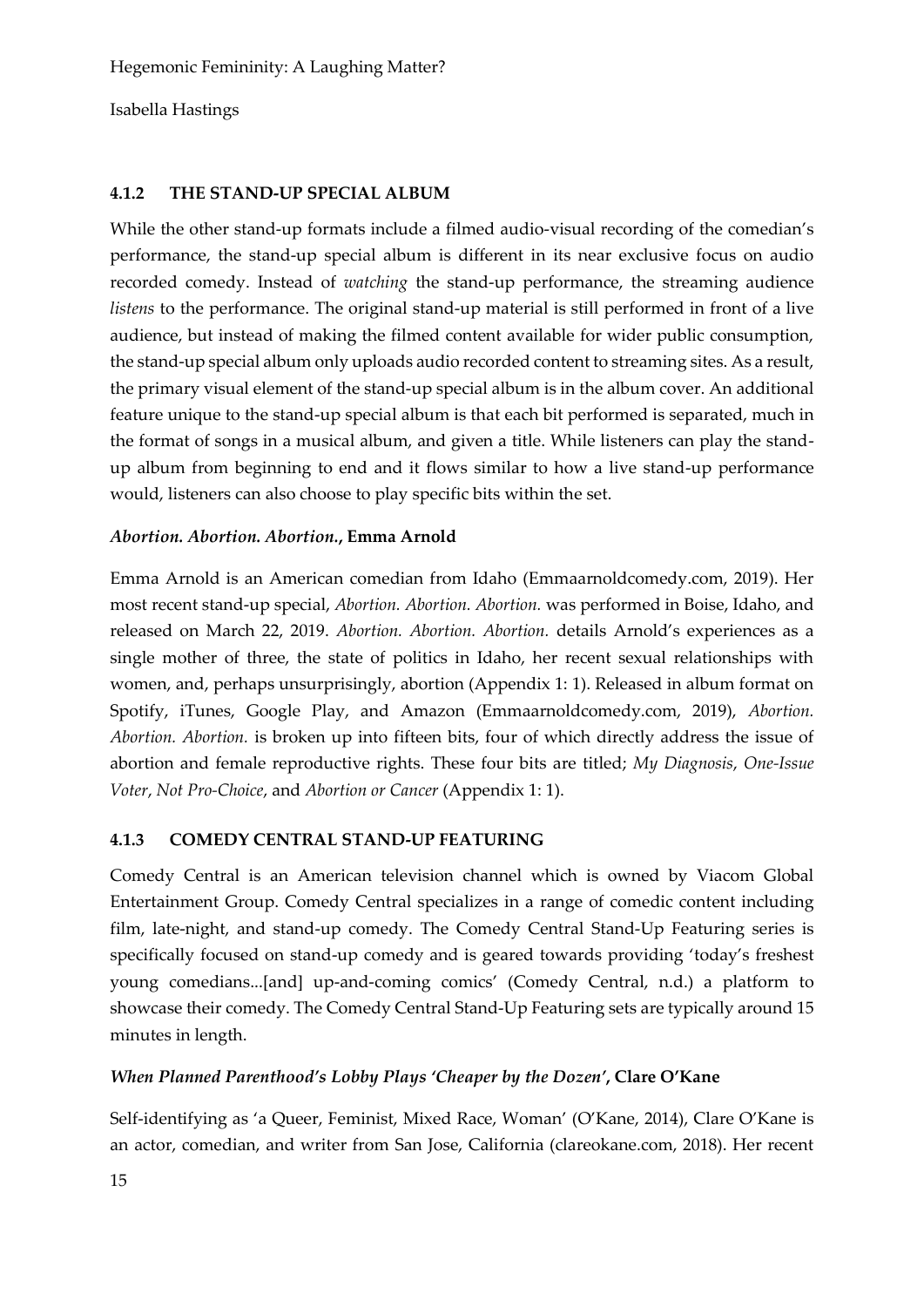# **4.1.2 THE STAND-UP SPECIAL ALBUM**

While the other stand-up formats include a filmed audio-visual recording of the comedian's performance, the stand-up special album is different in its near exclusive focus on audio recorded comedy. Instead of *watching* the stand-up performance, the streaming audience *listens* to the performance. The original stand-up material is still performed in front of a live audience, but instead of making the filmed content available for wider public consumption, the stand-up special album only uploads audio recorded content to streaming sites. As a result, the primary visual element of the stand-up special album is in the album cover. An additional feature unique to the stand-up special album is that each bit performed is separated, much in the format of songs in a musical album, and given a title. While listeners can play the standup album from beginning to end and it flows similar to how a live stand-up performance would, listeners can also choose to play specific bits within the set.

### *Abortion. Abortion. Abortion.***, Emma Arnold**

Emma Arnold is an American comedian from Idaho (Emmaarnoldcomedy.com, 2019). Her most recent stand-up special, *Abortion. Abortion. Abortion.* was performed in Boise, Idaho, and released on March 22, 2019. *Abortion. Abortion. Abortion.* details Arnold's experiences as a single mother of three, the state of politics in Idaho, her recent sexual relationships with women, and, perhaps unsurprisingly, abortion (Appendix 1: 1). Released in album format on Spotify, iTunes, Google Play, and Amazon (Emmaarnoldcomedy.com, 2019), *Abortion. Abortion. Abortion.* is broken up into fifteen bits, four of which directly address the issue of abortion and female reproductive rights. These four bits are titled; *My Diagnosis*, *One-Issue Voter*, *Not Pro-Choice*, and *Abortion or Cancer* (Appendix 1: 1).

# **4.1.3 COMEDY CENTRAL STAND-UP FEATURING**

Comedy Central is an American television channel which is owned by Viacom Global Entertainment Group. Comedy Central specializes in a range of comedic content including film, late-night, and stand-up comedy. The Comedy Central Stand-Up Featuring series is specifically focused on stand-up comedy and is geared towards providing 'today's freshest young comedians...[and] up-and-coming comics' (Comedy Central, n.d.) a platform to showcase their comedy. The Comedy Central Stand-Up Featuring sets are typically around 15 minutes in length.

# *When Planned Parenthood's Lobby Plays 'Cheaper by the Dozen'***, Clare O'Kane**

Self-identifying as 'a Queer, Feminist, Mixed Race, Woman' (O'Kane, 2014), Clare O'Kane is an actor, comedian, and writer from San Jose, California (clareokane.com, 2018). Her recent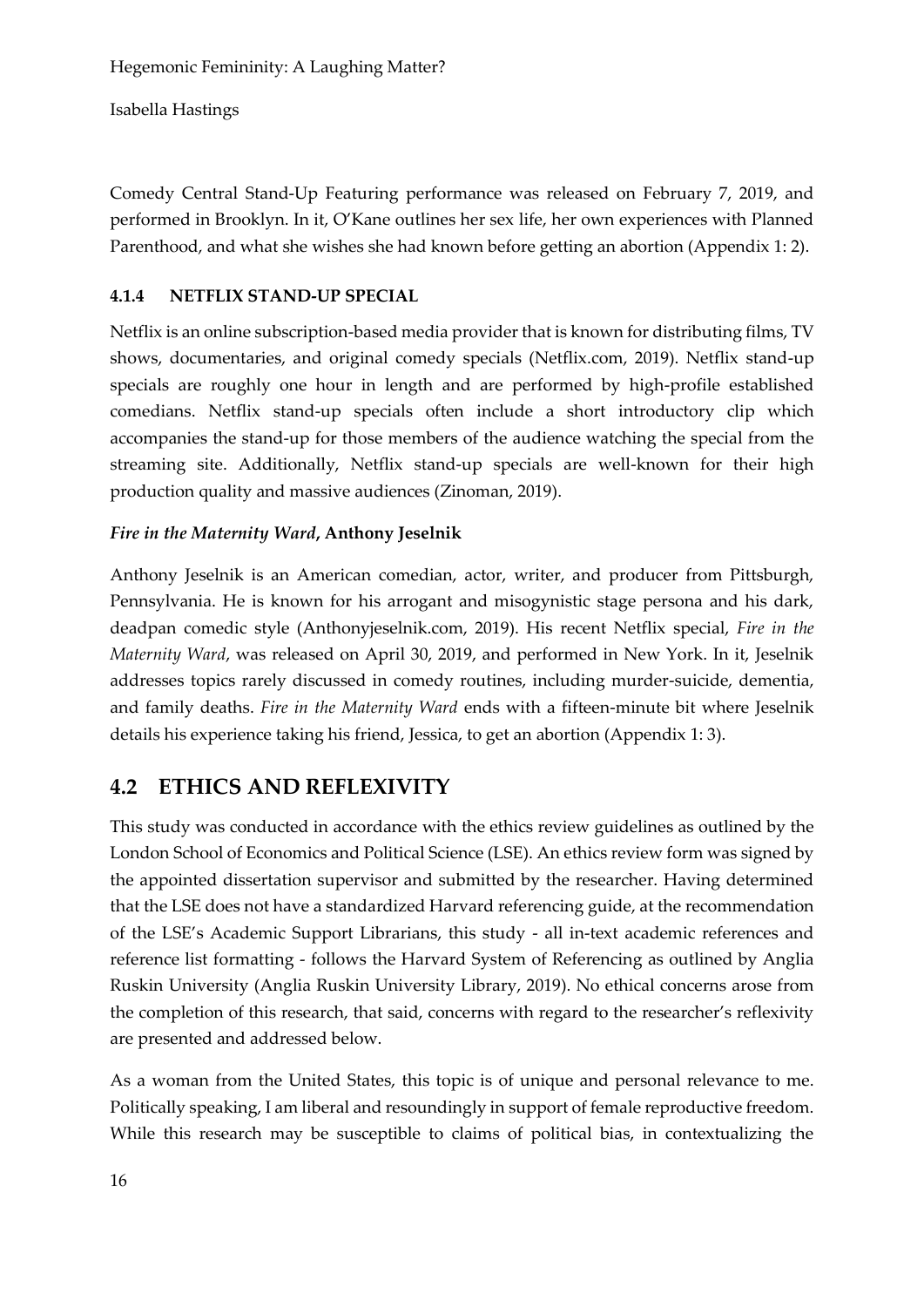Comedy Central Stand-Up Featuring performance was released on February 7, 2019, and performed in Brooklyn. In it, O'Kane outlines her sex life, her own experiences with Planned Parenthood, and what she wishes she had known before getting an abortion (Appendix 1: 2).

# **4.1.4 NETFLIX STAND-UP SPECIAL**

Netflix is an online subscription-based media provider that is known for distributing films, TV shows, documentaries, and original comedy specials (Netflix.com, 2019). Netflix stand-up specials are roughly one hour in length and are performed by high-profile established comedians. Netflix stand-up specials often include a short introductory clip which accompanies the stand-up for those members of the audience watching the special from the streaming site. Additionally, Netflix stand-up specials are well-known for their high production quality and massive audiences (Zinoman, 2019).

# *Fire in the Maternity Ward***, Anthony Jeselnik**

Anthony Jeselnik is an American comedian, actor, writer, and producer from Pittsburgh, Pennsylvania. He is known for his arrogant and misogynistic stage persona and his dark, deadpan comedic style (Anthonyjeselnik.com, 2019). His recent Netflix special, *Fire in the Maternity Ward*, was released on April 30, 2019, and performed in New York. In it, Jeselnik addresses topics rarely discussed in comedy routines, including murder-suicide, dementia, and family deaths. *Fire in the Maternity Ward* ends with a fifteen-minute bit where Jeselnik details his experience taking his friend, Jessica, to get an abortion (Appendix 1: 3).

# **4.2 ETHICS AND REFLEXIVITY**

This study was conducted in accordance with the ethics review guidelines as outlined by the London School of Economics and Political Science (LSE). An ethics review form was signed by the appointed dissertation supervisor and submitted by the researcher. Having determined that the LSE does not have a standardized Harvard referencing guide, at the recommendation of the LSE's Academic Support Librarians, this study - all in-text academic references and reference list formatting - follows the Harvard System of Referencing as outlined by Anglia Ruskin University (Anglia Ruskin University Library, 2019). No ethical concerns arose from the completion of this research, that said, concerns with regard to the researcher's reflexivity are presented and addressed below.

As a woman from the United States, this topic is of unique and personal relevance to me. Politically speaking, I am liberal and resoundingly in support of female reproductive freedom. While this research may be susceptible to claims of political bias, in contextualizing the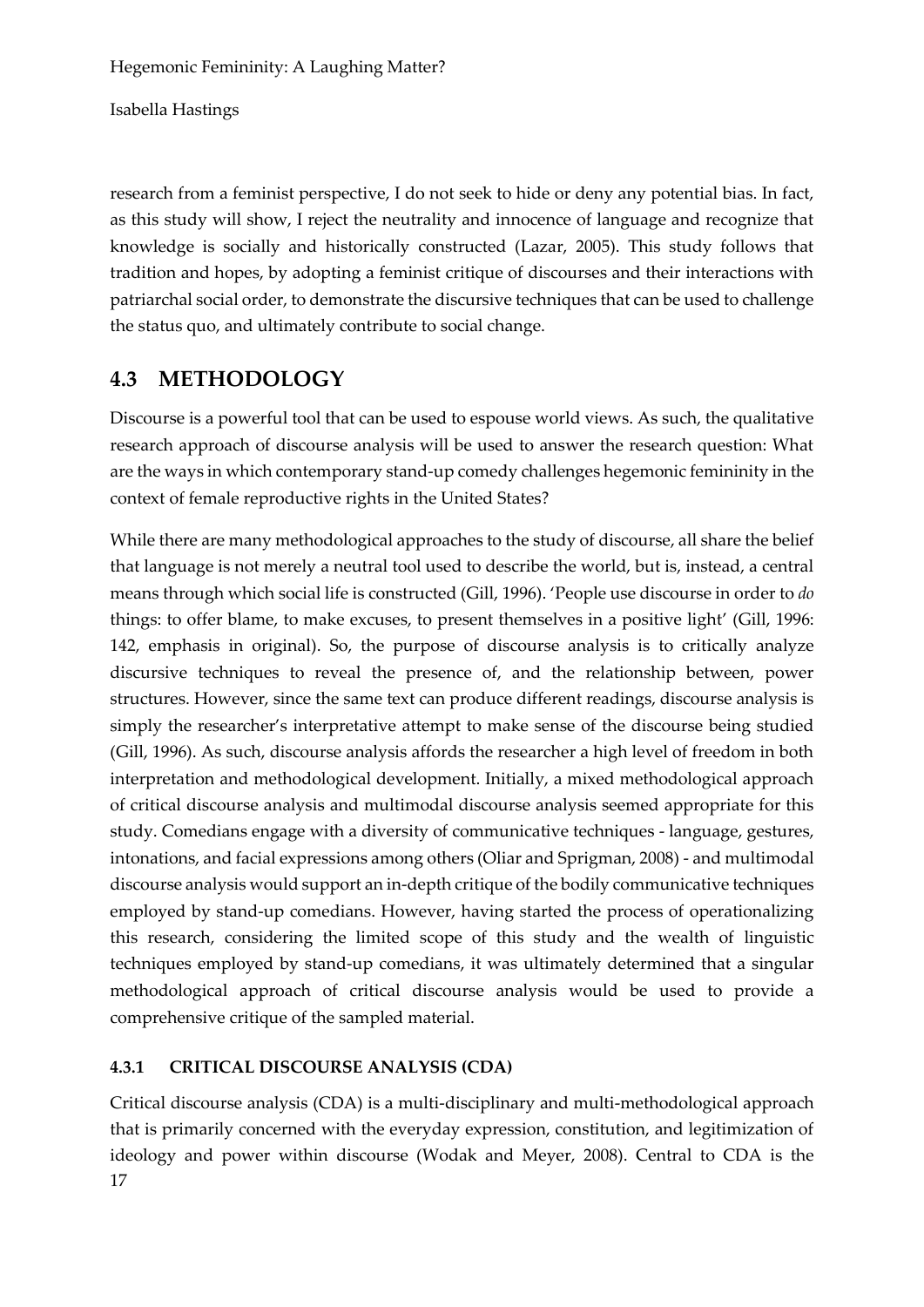Isabella Hastings

research from a feminist perspective, I do not seek to hide or deny any potential bias. In fact, as this study will show, I reject the neutrality and innocence of language and recognize that knowledge is socially and historically constructed (Lazar, 2005). This study follows that tradition and hopes, by adopting a feminist critique of discourses and their interactions with patriarchal social order, to demonstrate the discursive techniques that can be used to challenge the status quo, and ultimately contribute to social change.

# **4.3 METHODOLOGY**

Discourse is a powerful tool that can be used to espouse world views. As such, the qualitative research approach of discourse analysis will be used to answer the research question: What are the ways in which contemporary stand-up comedy challenges hegemonic femininity in the context of female reproductive rights in the United States?

While there are many methodological approaches to the study of discourse, all share the belief that language is not merely a neutral tool used to describe the world, but is, instead, a central means through which social life is constructed (Gill, 1996). 'People use discourse in order to *do* things: to offer blame, to make excuses, to present themselves in a positive light' (Gill, 1996: 142, emphasis in original). So, the purpose of discourse analysis is to critically analyze discursive techniques to reveal the presence of, and the relationship between, power structures. However, since the same text can produce different readings, discourse analysis is simply the researcher's interpretative attempt to make sense of the discourse being studied (Gill, 1996). As such, discourse analysis affords the researcher a high level of freedom in both interpretation and methodological development. Initially, a mixed methodological approach of critical discourse analysis and multimodal discourse analysis seemed appropriate for this study. Comedians engage with a diversity of communicative techniques - language, gestures, intonations, and facial expressions among others (Oliar and Sprigman, 2008) - and multimodal discourse analysis would support an in-depth critique of the bodily communicative techniques employed by stand-up comedians. However, having started the process of operationalizing this research, considering the limited scope of this study and the wealth of linguistic techniques employed by stand-up comedians, it was ultimately determined that a singular methodological approach of critical discourse analysis would be used to provide a comprehensive critique of the sampled material.

# **4.3.1 CRITICAL DISCOURSE ANALYSIS (CDA)**

17 Critical discourse analysis (CDA) is a multi-disciplinary and multi-methodological approach that is primarily concerned with the everyday expression, constitution, and legitimization of ideology and power within discourse (Wodak and Meyer, 2008). Central to CDA is the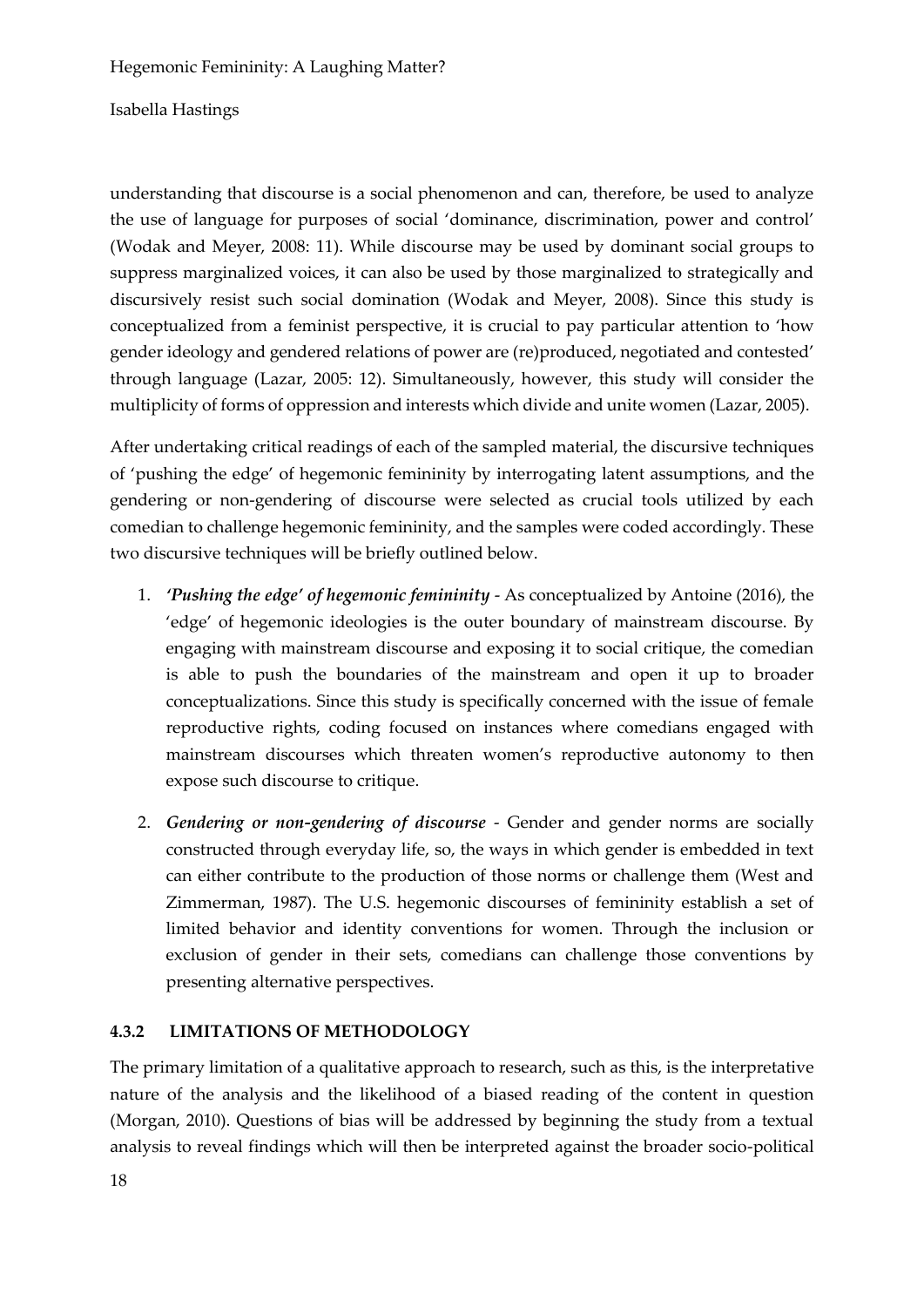Isabella Hastings

understanding that discourse is a social phenomenon and can, therefore, be used to analyze the use of language for purposes of social 'dominance, discrimination, power and control' (Wodak and Meyer, 2008: 11). While discourse may be used by dominant social groups to suppress marginalized voices, it can also be used by those marginalized to strategically and discursively resist such social domination (Wodak and Meyer, 2008). Since this study is conceptualized from a feminist perspective, it is crucial to pay particular attention to 'how gender ideology and gendered relations of power are (re)produced, negotiated and contested' through language (Lazar, 2005: 12). Simultaneously, however, this study will consider the multiplicity of forms of oppression and interests which divide and unite women (Lazar, 2005).

After undertaking critical readings of each of the sampled material, the discursive techniques of 'pushing the edge' of hegemonic femininity by interrogating latent assumptions, and the gendering or non-gendering of discourse were selected as crucial tools utilized by each comedian to challenge hegemonic femininity, and the samples were coded accordingly. These two discursive techniques will be briefly outlined below.

- 1. *'Pushing the edge' of hegemonic femininity* As conceptualized by Antoine (2016), the 'edge' of hegemonic ideologies is the outer boundary of mainstream discourse. By engaging with mainstream discourse and exposing it to social critique, the comedian is able to push the boundaries of the mainstream and open it up to broader conceptualizations. Since this study is specifically concerned with the issue of female reproductive rights, coding focused on instances where comedians engaged with mainstream discourses which threaten women's reproductive autonomy to then expose such discourse to critique.
- 2. *Gendering or non-gendering of discourse* Gender and gender norms are socially constructed through everyday life, so, the ways in which gender is embedded in text can either contribute to the production of those norms or challenge them (West and Zimmerman, 1987). The U.S. hegemonic discourses of femininity establish a set of limited behavior and identity conventions for women. Through the inclusion or exclusion of gender in their sets, comedians can challenge those conventions by presenting alternative perspectives.

### **4.3.2 LIMITATIONS OF METHODOLOGY**

The primary limitation of a qualitative approach to research, such as this, is the interpretative nature of the analysis and the likelihood of a biased reading of the content in question (Morgan, 2010). Questions of bias will be addressed by beginning the study from a textual analysis to reveal findings which will then be interpreted against the broader socio-political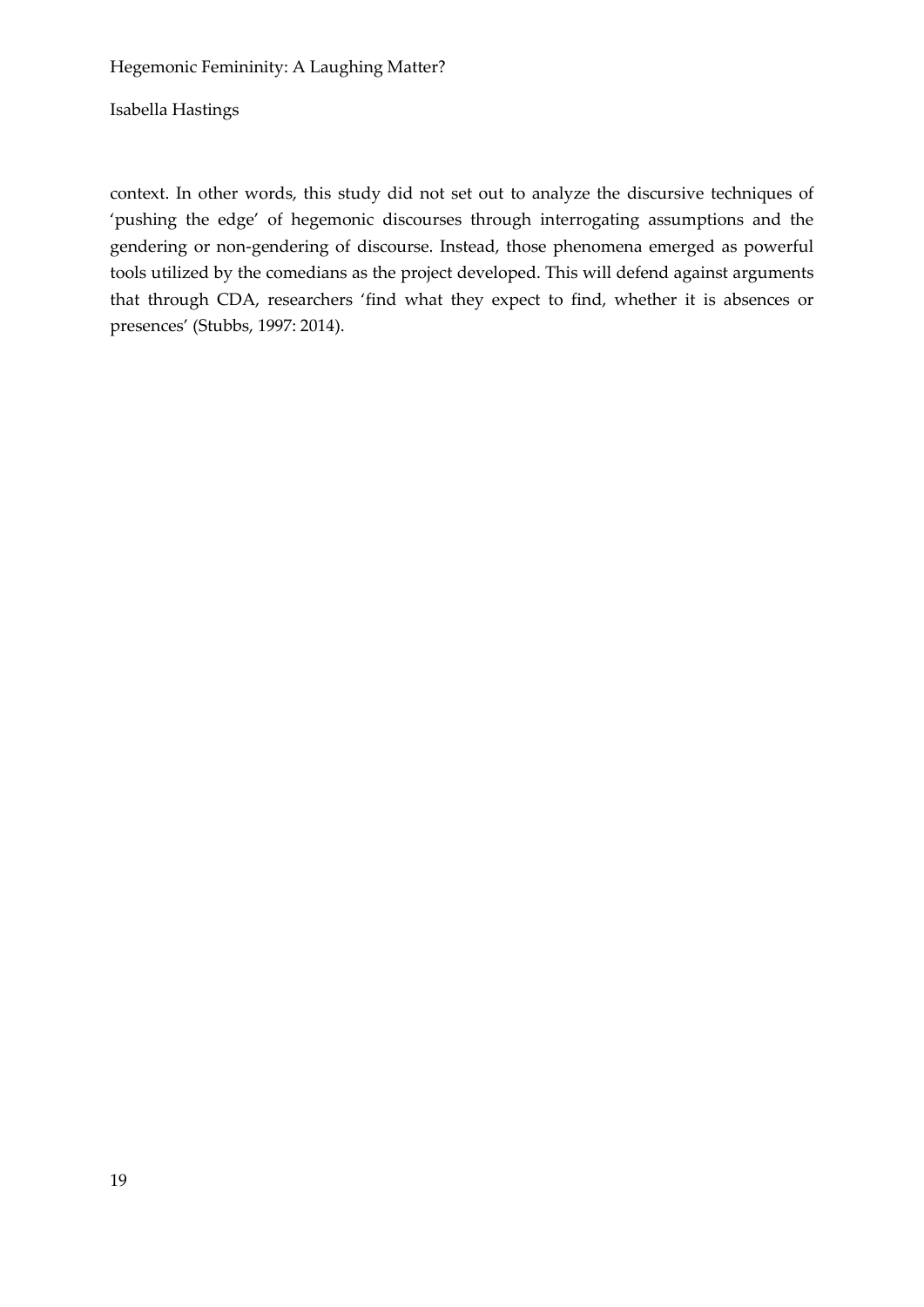context. In other words, this study did not set out to analyze the discursive techniques of 'pushing the edge' of hegemonic discourses through interrogating assumptions and the gendering or non-gendering of discourse. Instead, those phenomena emerged as powerful tools utilized by the comedians as the project developed. This will defend against arguments that through CDA, researchers 'find what they expect to find, whether it is absences or presences' (Stubbs, 1997: 2014).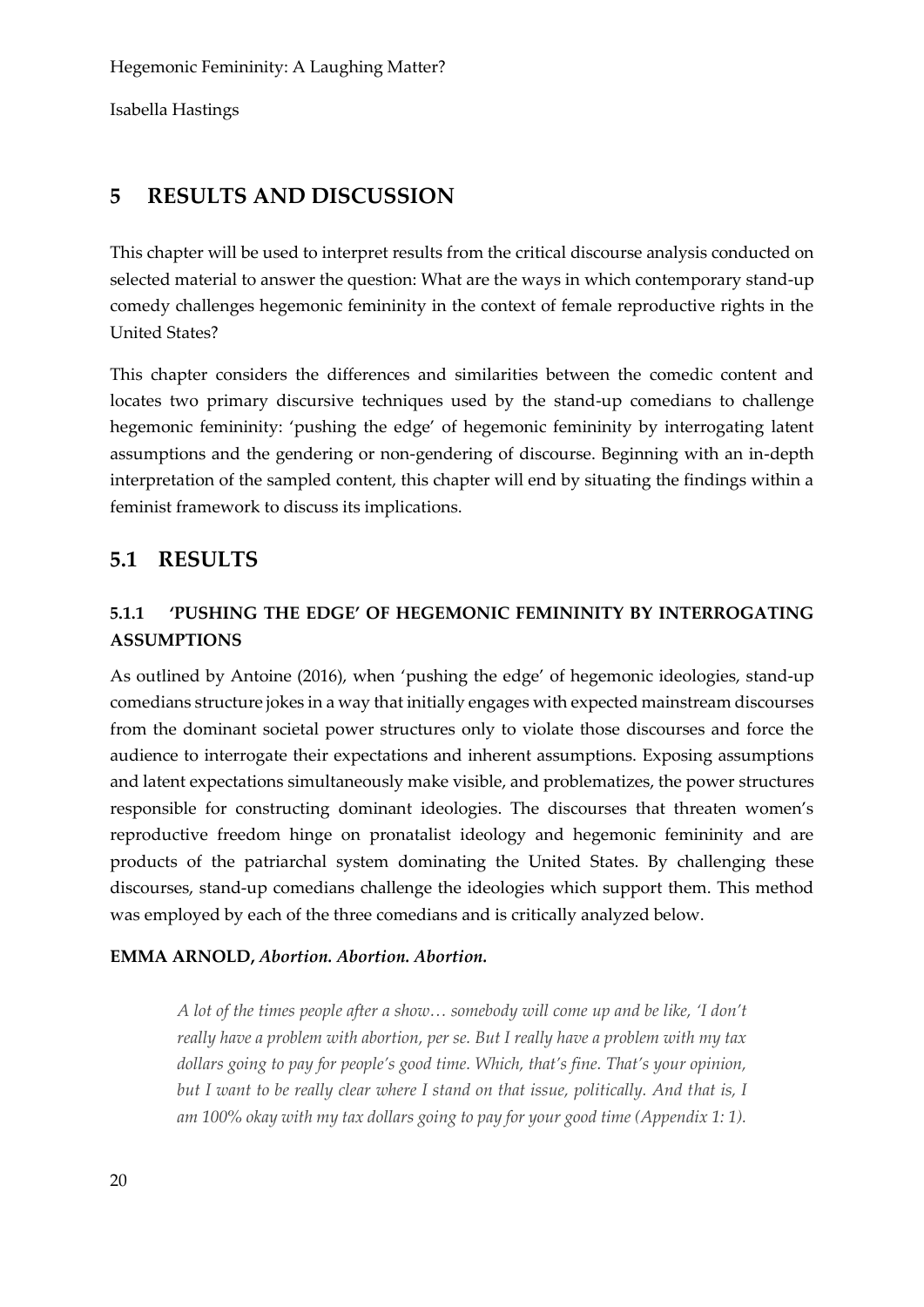# **5 RESULTS AND DISCUSSION**

This chapter will be used to interpret results from the critical discourse analysis conducted on selected material to answer the question: What are the ways in which contemporary stand-up comedy challenges hegemonic femininity in the context of female reproductive rights in the United States?

This chapter considers the differences and similarities between the comedic content and locates two primary discursive techniques used by the stand-up comedians to challenge hegemonic femininity: 'pushing the edge' of hegemonic femininity by interrogating latent assumptions and the gendering or non-gendering of discourse. Beginning with an in-depth interpretation of the sampled content, this chapter will end by situating the findings within a feminist framework to discuss its implications.

# **5.1 RESULTS**

# **5.1.1 'PUSHING THE EDGE' OF HEGEMONIC FEMININITY BY INTERROGATING ASSUMPTIONS**

As outlined by Antoine (2016), when 'pushing the edge' of hegemonic ideologies, stand-up comedians structure jokes in a way that initially engages with expected mainstream discourses from the dominant societal power structures only to violate those discourses and force the audience to interrogate their expectations and inherent assumptions. Exposing assumptions and latent expectations simultaneously make visible, and problematizes, the power structures responsible for constructing dominant ideologies. The discourses that threaten women's reproductive freedom hinge on pronatalist ideology and hegemonic femininity and are products of the patriarchal system dominating the United States. By challenging these discourses, stand-up comedians challenge the ideologies which support them. This method was employed by each of the three comedians and is critically analyzed below.

### **EMMA ARNOLD,** *Abortion. Abortion. Abortion.*

*A lot of the times people after a show… somebody will come up and be like, 'I don't really have a problem with abortion, per se. But I really have a problem with my tax dollars going to pay for people's good time. Which, that's fine. That's your opinion, but I want to be really clear where I stand on that issue, politically. And that is, I am 100% okay with my tax dollars going to pay for your good time (Appendix 1: 1).*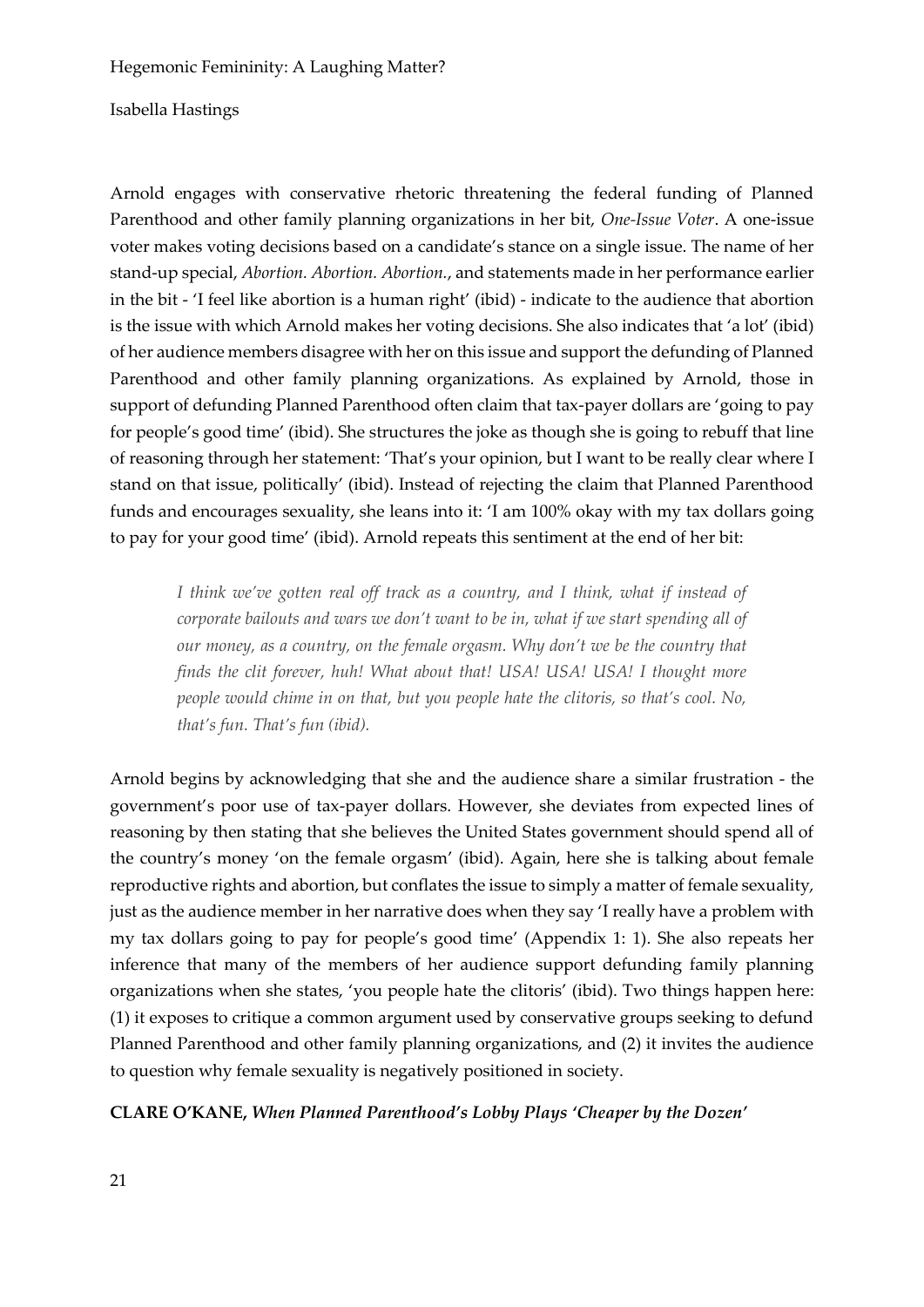### Isabella Hastings

Arnold engages with conservative rhetoric threatening the federal funding of Planned Parenthood and other family planning organizations in her bit, *One-Issue Voter*. A one-issue voter makes voting decisions based on a candidate's stance on a single issue. The name of her stand-up special, *Abortion. Abortion. Abortion.*, and statements made in her performance earlier in the bit - 'I feel like abortion is a human right' (ibid) - indicate to the audience that abortion is the issue with which Arnold makes her voting decisions. She also indicates that 'a lot' (ibid) of her audience members disagree with her on this issue and support the defunding of Planned Parenthood and other family planning organizations. As explained by Arnold, those in support of defunding Planned Parenthood often claim that tax-payer dollars are 'going to pay for people's good time' (ibid). She structures the joke as though she is going to rebuff that line of reasoning through her statement: 'That's your opinion, but I want to be really clear where I stand on that issue, politically' (ibid). Instead of rejecting the claim that Planned Parenthood funds and encourages sexuality, she leans into it: 'I am 100% okay with my tax dollars going to pay for your good time' (ibid). Arnold repeats this sentiment at the end of her bit:

*I think we've gotten real off track as a country, and I think, what if instead of corporate bailouts and wars we don't want to be in, what if we start spending all of our money, as a country, on the female orgasm. Why don't we be the country that finds the clit forever, huh! What about that! USA! USA! USA! I thought more people would chime in on that, but you people hate the clitoris, so that's cool. No, that's fun. That's fun (ibid).*

Arnold begins by acknowledging that she and the audience share a similar frustration - the government's poor use of tax-payer dollars. However, she deviates from expected lines of reasoning by then stating that she believes the United States government should spend all of the country's money 'on the female orgasm' (ibid). Again, here she is talking about female reproductive rights and abortion, but conflates the issue to simply a matter of female sexuality, just as the audience member in her narrative does when they say 'I really have a problem with my tax dollars going to pay for people's good time' (Appendix 1: 1). She also repeats her inference that many of the members of her audience support defunding family planning organizations when she states, 'you people hate the clitoris' (ibid). Two things happen here: (1) it exposes to critique a common argument used by conservative groups seeking to defund Planned Parenthood and other family planning organizations, and (2) it invites the audience to question why female sexuality is negatively positioned in society.

### **CLARE O'KANE,** *When Planned Parenthood's Lobby Plays 'Cheaper by the Dozen'*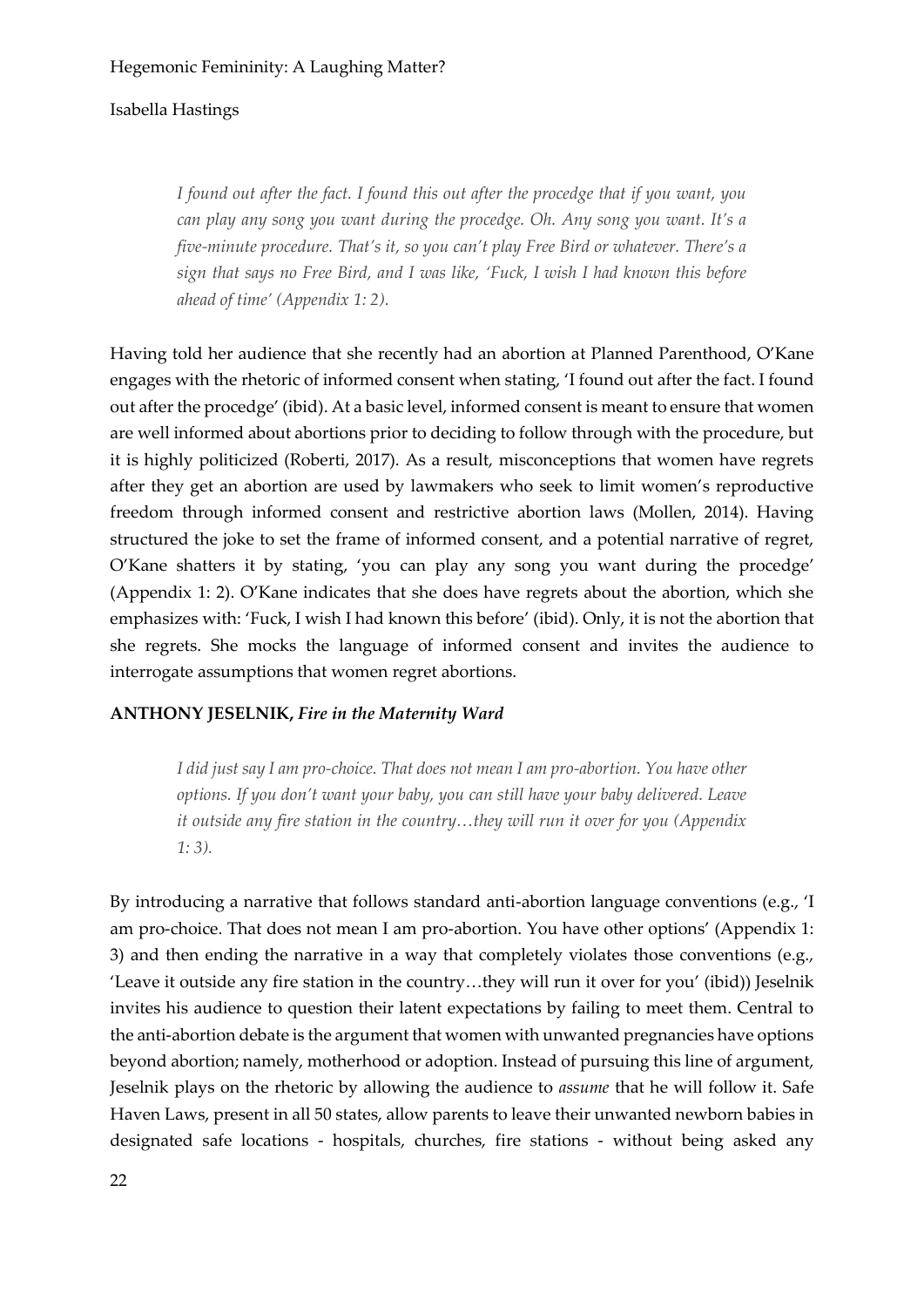*I found out after the fact. I found this out after the procedge that if you want, you can play any song you want during the procedge. Oh. Any song you want. It's a five-minute procedure. That's it, so you can't play Free Bird or whatever. There's a sign that says no Free Bird, and I was like, 'Fuck, I wish I had known this before ahead of time' (Appendix 1: 2).*

Having told her audience that she recently had an abortion at Planned Parenthood, O'Kane engages with the rhetoric of informed consent when stating, 'I found out after the fact. I found out after the procedge' (ibid). At a basic level, informed consent is meant to ensure that women are well informed about abortions prior to deciding to follow through with the procedure, but it is highly politicized (Roberti, 2017). As a result, misconceptions that women have regrets after they get an abortion are used by lawmakers who seek to limit women's reproductive freedom through informed consent and restrictive abortion laws (Mollen, 2014). Having structured the joke to set the frame of informed consent, and a potential narrative of regret, O'Kane shatters it by stating, 'you can play any song you want during the procedge' (Appendix 1: 2). O'Kane indicates that she does have regrets about the abortion, which she emphasizes with: 'Fuck, I wish I had known this before' (ibid). Only, it is not the abortion that she regrets. She mocks the language of informed consent and invites the audience to interrogate assumptions that women regret abortions.

### **ANTHONY JESELNIK,** *Fire in the Maternity Ward*

*I did just say I am pro-choice. That does not mean I am pro-abortion. You have other options. If you don't want your baby, you can still have your baby delivered. Leave it outside any fire station in the country…they will run it over for you (Appendix 1: 3).*

By introducing a narrative that follows standard anti-abortion language conventions (e.g., 'I am pro-choice. That does not mean I am pro-abortion. You have other options' (Appendix 1: 3) and then ending the narrative in a way that completely violates those conventions (e.g., 'Leave it outside any fire station in the country…they will run it over for you' (ibid)) Jeselnik invites his audience to question their latent expectations by failing to meet them. Central to the anti-abortion debate is the argument that women with unwanted pregnancies have options beyond abortion; namely, motherhood or adoption. Instead of pursuing this line of argument, Jeselnik plays on the rhetoric by allowing the audience to *assume* that he will follow it. Safe Haven Laws, present in all 50 states, allow parents to leave their unwanted newborn babies in designated safe locations - hospitals, churches, fire stations - without being asked any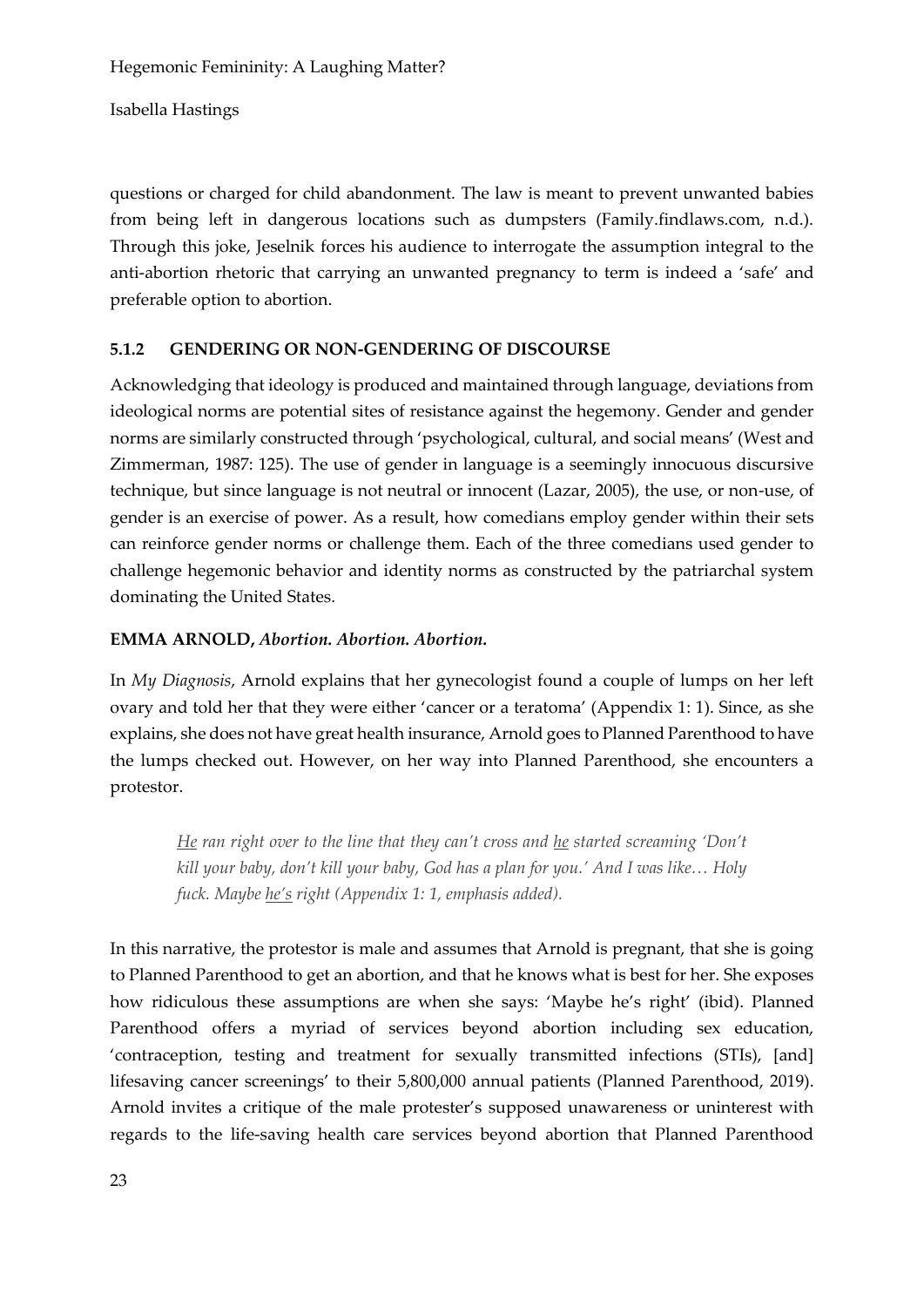questions or charged for child abandonment. The law is meant to prevent unwanted babies from being left in dangerous locations such as dumpsters (Family.findlaws.com, n.d.). Through this joke, Jeselnik forces his audience to interrogate the assumption integral to the anti-abortion rhetoric that carrying an unwanted pregnancy to term is indeed a 'safe' and preferable option to abortion.

# **5.1.2 GENDERING OR NON-GENDERING OF DISCOURSE**

Acknowledging that ideology is produced and maintained through language, deviations from ideological norms are potential sites of resistance against the hegemony. Gender and gender norms are similarly constructed through 'psychological, cultural, and social means' (West and Zimmerman, 1987: 125). The use of gender in language is a seemingly innocuous discursive technique, but since language is not neutral or innocent (Lazar, 2005), the use, or non-use, of gender is an exercise of power. As a result, how comedians employ gender within their sets can reinforce gender norms or challenge them. Each of the three comedians used gender to challenge hegemonic behavior and identity norms as constructed by the patriarchal system dominating the United States.

# **EMMA ARNOLD,** *Abortion. Abortion. Abortion.*

In *My Diagnosis*, Arnold explains that her gynecologist found a couple of lumps on her left ovary and told her that they were either 'cancer or a teratoma' (Appendix 1: 1). Since, as she explains, she does not have great health insurance, Arnold goes to Planned Parenthood to have the lumps checked out. However, on her way into Planned Parenthood, she encounters a protestor.

*He ran right over to the line that they can't cross and he started screaming 'Don't kill your baby, don't kill your baby, God has a plan for you.' And I was like… Holy fuck. Maybe he's right (Appendix 1: 1, emphasis added).*

In this narrative, the protestor is male and assumes that Arnold is pregnant, that she is going to Planned Parenthood to get an abortion, and that he knows what is best for her. She exposes how ridiculous these assumptions are when she says: 'Maybe he's right' (ibid). Planned Parenthood offers a myriad of services beyond abortion including sex education, 'contraception, testing and treatment for sexually transmitted infections (STIs), [and] lifesaving cancer screenings' to their 5,800,000 annual patients (Planned Parenthood, 2019). Arnold invites a critique of the male protester's supposed unawareness or uninterest with regards to the life-saving health care services beyond abortion that Planned Parenthood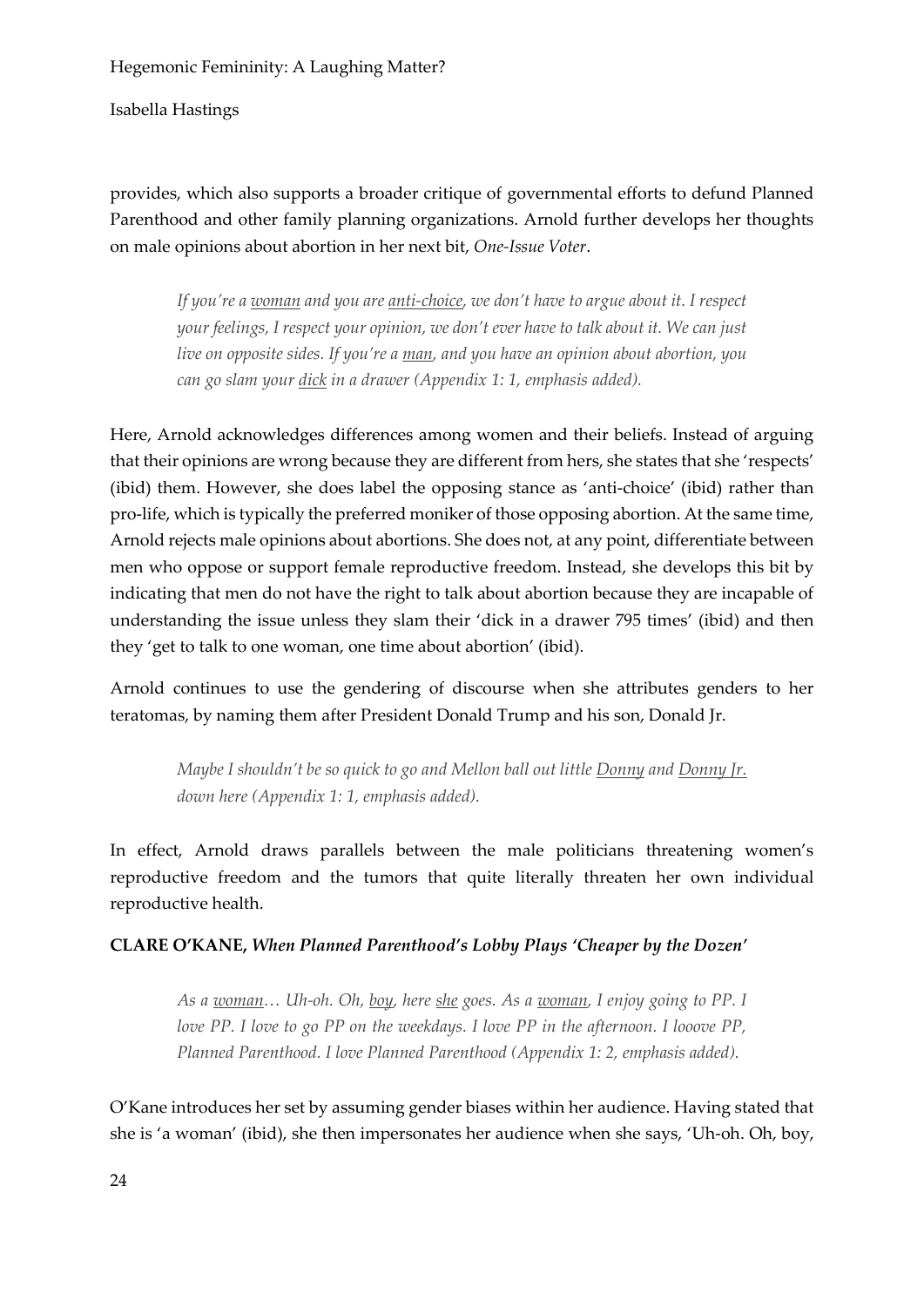Isabella Hastings

provides, which also supports a broader critique of governmental efforts to defund Planned Parenthood and other family planning organizations. Arnold further develops her thoughts on male opinions about abortion in her next bit, *One-Issue Voter*.

*If you're a woman and you are anti-choice, we don't have to argue about it. I respect your feelings, I respect your opinion, we don't ever have to talk about it. We can just live on opposite sides. If you're a man, and you have an opinion about abortion, you can go slam your dick in a drawer (Appendix 1: 1, emphasis added).*

Here, Arnold acknowledges differences among women and their beliefs. Instead of arguing that their opinions are wrong because they are different from hers, she states that she 'respects' (ibid) them. However, she does label the opposing stance as 'anti-choice' (ibid) rather than pro-life, which is typically the preferred moniker of those opposing abortion. At the same time, Arnold rejects male opinions about abortions. She does not, at any point, differentiate between men who oppose or support female reproductive freedom. Instead, she develops this bit by indicating that men do not have the right to talk about abortion because they are incapable of understanding the issue unless they slam their 'dick in a drawer 795 times' (ibid) and then they 'get to talk to one woman, one time about abortion' (ibid).

Arnold continues to use the gendering of discourse when she attributes genders to her teratomas, by naming them after President Donald Trump and his son, Donald Jr.

*Maybe I shouldn't be so quick to go and Mellon ball out little Donny and Donny Jr. down here (Appendix 1: 1, emphasis added).*

In effect, Arnold draws parallels between the male politicians threatening women's reproductive freedom and the tumors that quite literally threaten her own individual reproductive health.

### **CLARE O'KANE,** *When Planned Parenthood's Lobby Plays 'Cheaper by the Dozen'*

*As a woman… Uh-oh. Oh, boy, here she goes. As a woman, I enjoy going to PP. I love PP. I love to go PP on the weekdays. I love PP in the afternoon. I looove PP, Planned Parenthood. I love Planned Parenthood (Appendix 1: 2, emphasis added).*

O'Kane introduces her set by assuming gender biases within her audience. Having stated that she is 'a woman' (ibid), she then impersonates her audience when she says, 'Uh-oh. Oh, boy,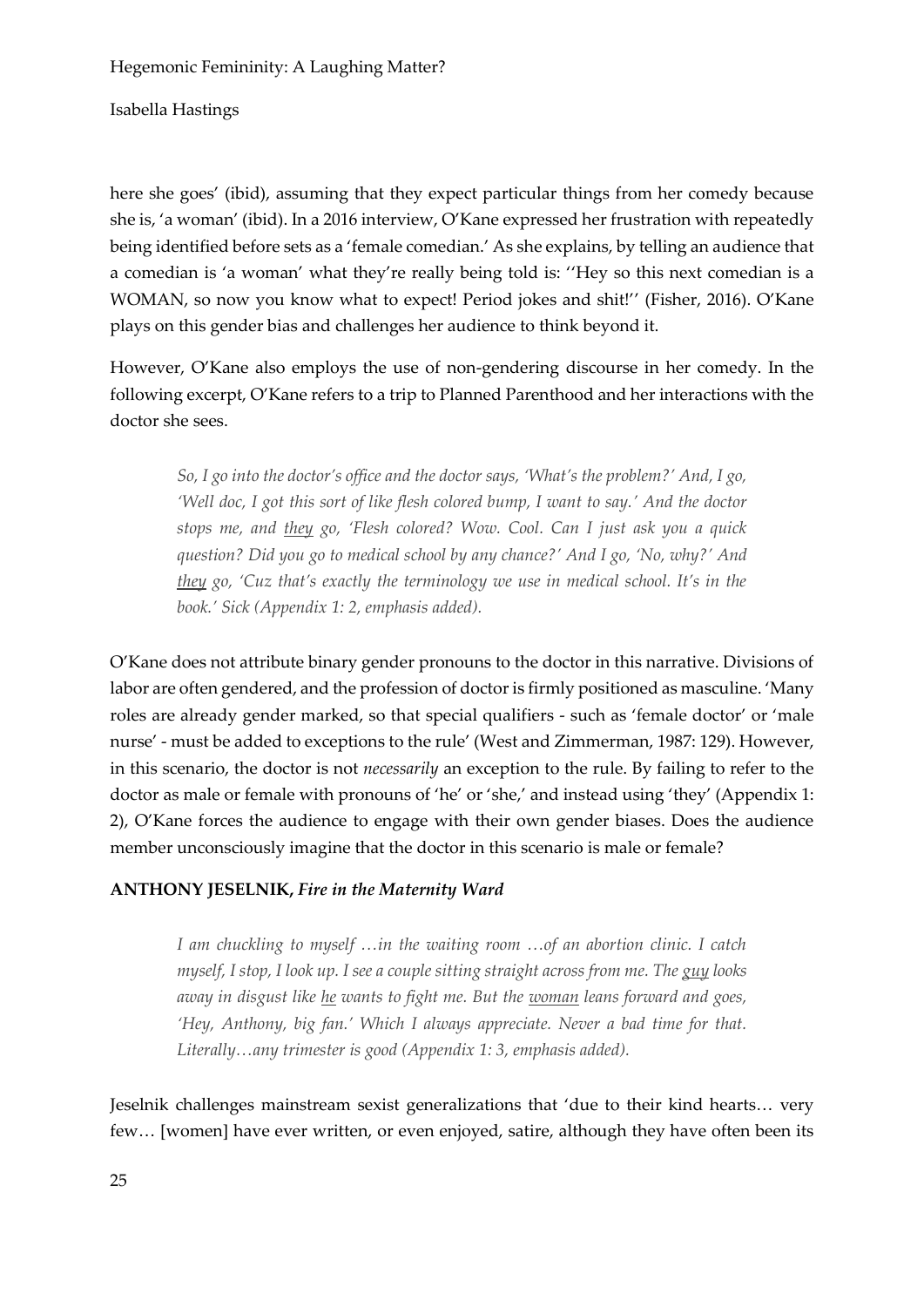Isabella Hastings

here she goes' (ibid), assuming that they expect particular things from her comedy because she is, 'a woman' (ibid). In a 2016 interview, O'Kane expressed her frustration with repeatedly being identified before sets as a 'female comedian.' As she explains, by telling an audience that a comedian is 'a woman' what they're really being told is: ''Hey so this next comedian is a WOMAN, so now you know what to expect! Period jokes and shit!'' (Fisher, 2016). O'Kane plays on this gender bias and challenges her audience to think beyond it.

However, O'Kane also employs the use of non-gendering discourse in her comedy. In the following excerpt, O'Kane refers to a trip to Planned Parenthood and her interactions with the doctor she sees.

*So, I go into the doctor's office and the doctor says, 'What's the problem?' And, I go, 'Well doc, I got this sort of like flesh colored bump, I want to say.' And the doctor stops me, and they go, 'Flesh colored? Wow. Cool. Can I just ask you a quick question? Did you go to medical school by any chance?' And I go, 'No, why?' And they go, 'Cuz that's exactly the terminology we use in medical school. It's in the book.' Sick (Appendix 1: 2, emphasis added).*

O'Kane does not attribute binary gender pronouns to the doctor in this narrative. Divisions of labor are often gendered, and the profession of doctor is firmly positioned as masculine. 'Many roles are already gender marked, so that special qualifiers - such as 'female doctor' or 'male nurse' - must be added to exceptions to the rule' (West and Zimmerman, 1987: 129). However, in this scenario, the doctor is not *necessarily* an exception to the rule. By failing to refer to the doctor as male or female with pronouns of 'he' or 'she,' and instead using 'they' (Appendix 1: 2), O'Kane forces the audience to engage with their own gender biases. Does the audience member unconsciously imagine that the doctor in this scenario is male or female?

### **ANTHONY JESELNIK,** *Fire in the Maternity Ward*

*I am chuckling to myself …in the waiting room …of an abortion clinic. I catch myself, I stop, I look up. I see a couple sitting straight across from me. The guy looks away in disgust like he wants to fight me. But the woman leans forward and goes, 'Hey, Anthony, big fan.' Which I always appreciate. Never a bad time for that. Literally…any trimester is good (Appendix 1: 3, emphasis added).*

Jeselnik challenges mainstream sexist generalizations that 'due to their kind hearts… very few… [women] have ever written, or even enjoyed, satire, although they have often been its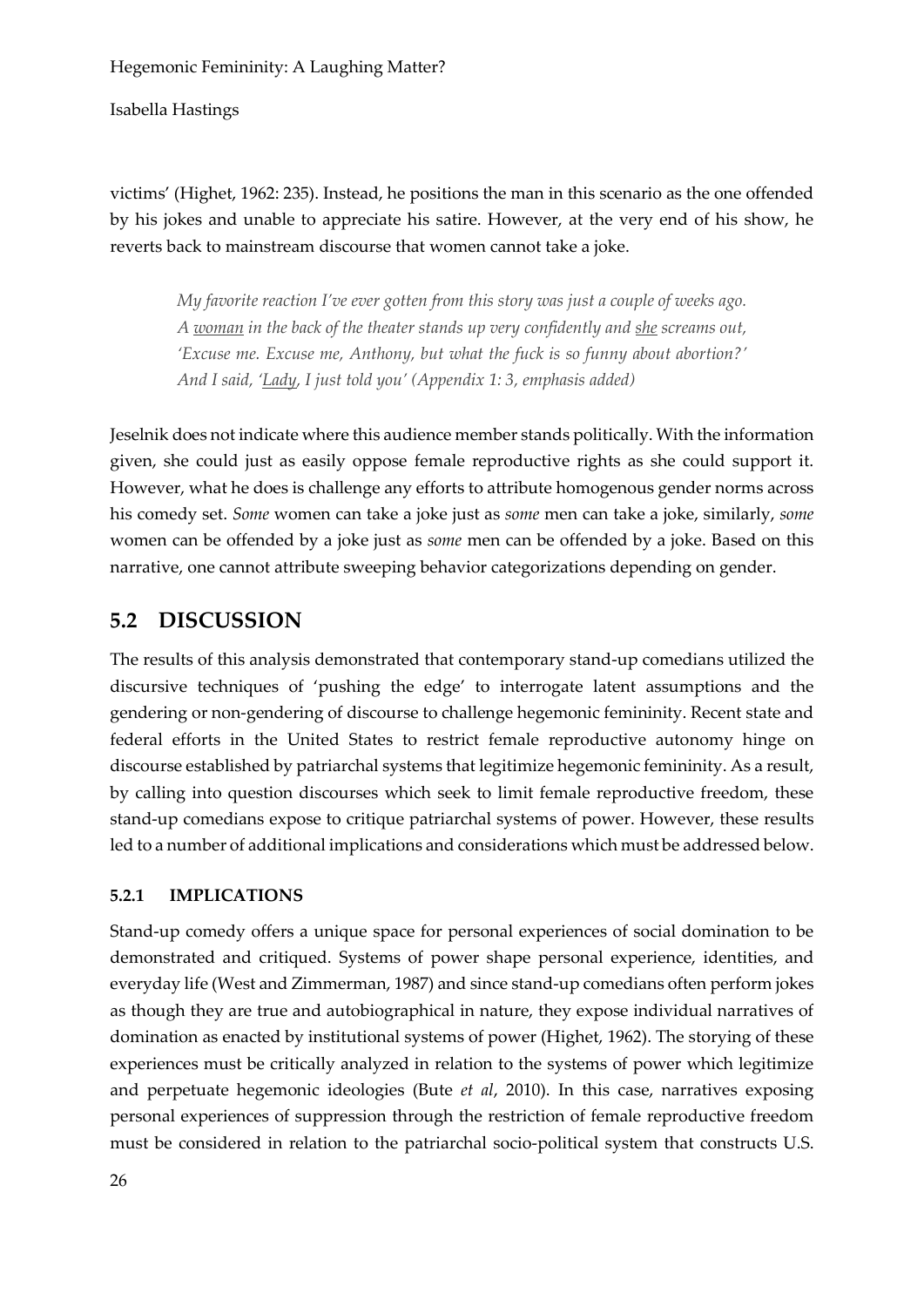Isabella Hastings

victims' (Highet, 1962: 235). Instead, he positions the man in this scenario as the one offended by his jokes and unable to appreciate his satire. However, at the very end of his show, he reverts back to mainstream discourse that women cannot take a joke.

*My favorite reaction I've ever gotten from this story was just a couple of weeks ago. A woman in the back of the theater stands up very confidently and she screams out, 'Excuse me. Excuse me, Anthony, but what the fuck is so funny about abortion?' And I said, 'Lady, I just told you' (Appendix 1: 3, emphasis added)*

Jeselnik does not indicate where this audience member stands politically. With the information given, she could just as easily oppose female reproductive rights as she could support it. However, what he does is challenge any efforts to attribute homogenous gender norms across his comedy set. *Some* women can take a joke just as *some* men can take a joke, similarly, *some* women can be offended by a joke just as *some* men can be offended by a joke. Based on this narrative, one cannot attribute sweeping behavior categorizations depending on gender.

# **5.2 DISCUSSION**

The results of this analysis demonstrated that contemporary stand-up comedians utilized the discursive techniques of 'pushing the edge' to interrogate latent assumptions and the gendering or non-gendering of discourse to challenge hegemonic femininity. Recent state and federal efforts in the United States to restrict female reproductive autonomy hinge on discourse established by patriarchal systems that legitimize hegemonic femininity. As a result, by calling into question discourses which seek to limit female reproductive freedom, these stand-up comedians expose to critique patriarchal systems of power. However, these results led to a number of additional implications and considerations which must be addressed below.

### **5.2.1 IMPLICATIONS**

Stand-up comedy offers a unique space for personal experiences of social domination to be demonstrated and critiqued. Systems of power shape personal experience, identities, and everyday life (West and Zimmerman, 1987) and since stand-up comedians often perform jokes as though they are true and autobiographical in nature, they expose individual narratives of domination as enacted by institutional systems of power (Highet, 1962). The storying of these experiences must be critically analyzed in relation to the systems of power which legitimize and perpetuate hegemonic ideologies (Bute *et al*, 2010). In this case, narratives exposing personal experiences of suppression through the restriction of female reproductive freedom must be considered in relation to the patriarchal socio-political system that constructs U.S.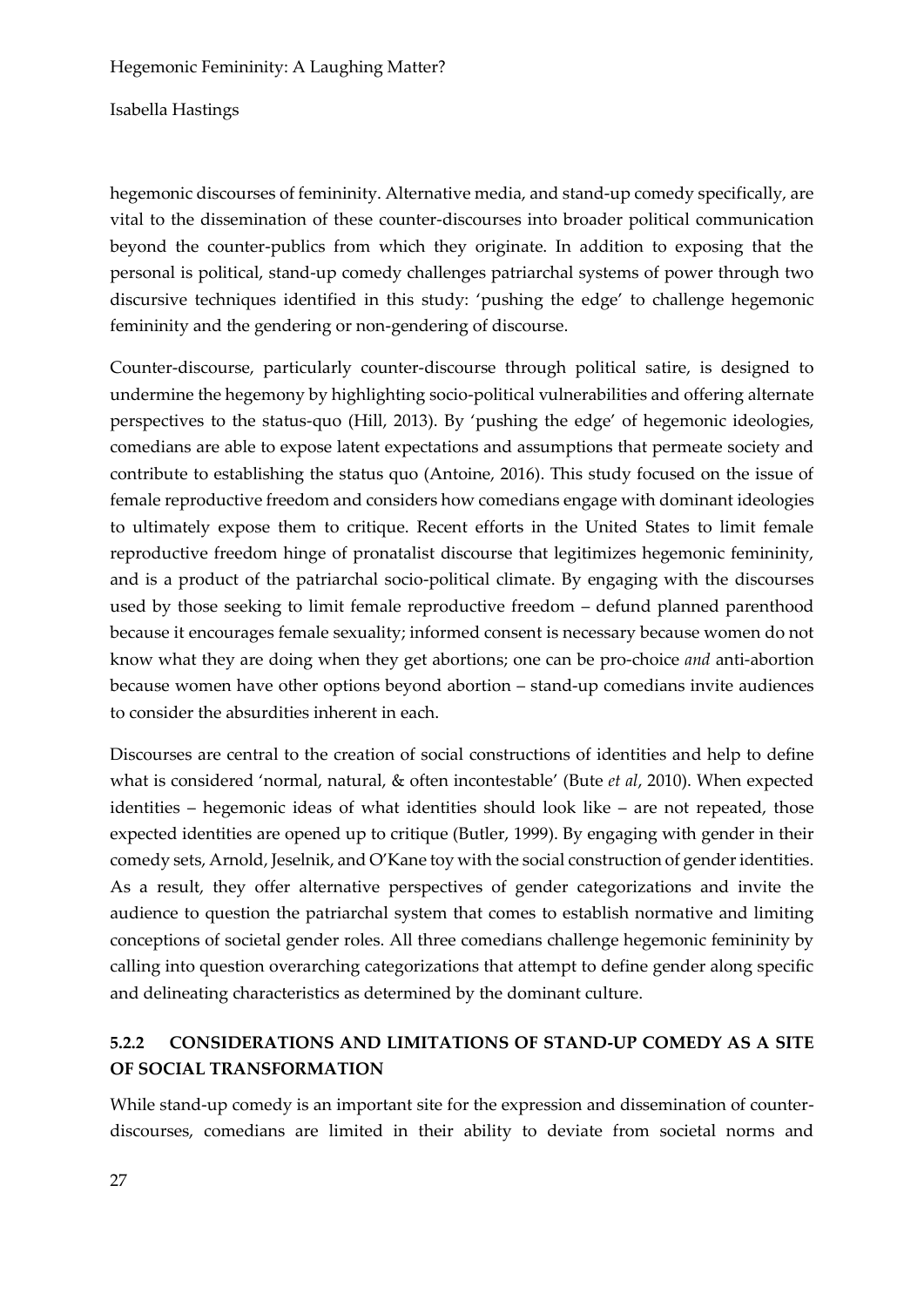Isabella Hastings

hegemonic discourses of femininity. Alternative media, and stand-up comedy specifically, are vital to the dissemination of these counter-discourses into broader political communication beyond the counter-publics from which they originate. In addition to exposing that the personal is political, stand-up comedy challenges patriarchal systems of power through two discursive techniques identified in this study: 'pushing the edge' to challenge hegemonic femininity and the gendering or non-gendering of discourse.

Counter-discourse, particularly counter-discourse through political satire, is designed to undermine the hegemony by highlighting socio-political vulnerabilities and offering alternate perspectives to the status-quo (Hill, 2013). By 'pushing the edge' of hegemonic ideologies, comedians are able to expose latent expectations and assumptions that permeate society and contribute to establishing the status quo (Antoine, 2016). This study focused on the issue of female reproductive freedom and considers how comedians engage with dominant ideologies to ultimately expose them to critique. Recent efforts in the United States to limit female reproductive freedom hinge of pronatalist discourse that legitimizes hegemonic femininity, and is a product of the patriarchal socio-political climate. By engaging with the discourses used by those seeking to limit female reproductive freedom – defund planned parenthood because it encourages female sexuality; informed consent is necessary because women do not know what they are doing when they get abortions; one can be pro-choice *and* anti-abortion because women have other options beyond abortion – stand-up comedians invite audiences to consider the absurdities inherent in each.

Discourses are central to the creation of social constructions of identities and help to define what is considered 'normal, natural, & often incontestable' (Bute *et al*, 2010). When expected identities – hegemonic ideas of what identities should look like – are not repeated, those expected identities are opened up to critique (Butler, 1999). By engaging with gender in their comedy sets, Arnold, Jeselnik, and O'Kane toy with the social construction of gender identities. As a result, they offer alternative perspectives of gender categorizations and invite the audience to question the patriarchal system that comes to establish normative and limiting conceptions of societal gender roles. All three comedians challenge hegemonic femininity by calling into question overarching categorizations that attempt to define gender along specific and delineating characteristics as determined by the dominant culture.

# **5.2.2 CONSIDERATIONS AND LIMITATIONS OF STAND-UP COMEDY AS A SITE OF SOCIAL TRANSFORMATION**

While stand-up comedy is an important site for the expression and dissemination of counterdiscourses, comedians are limited in their ability to deviate from societal norms and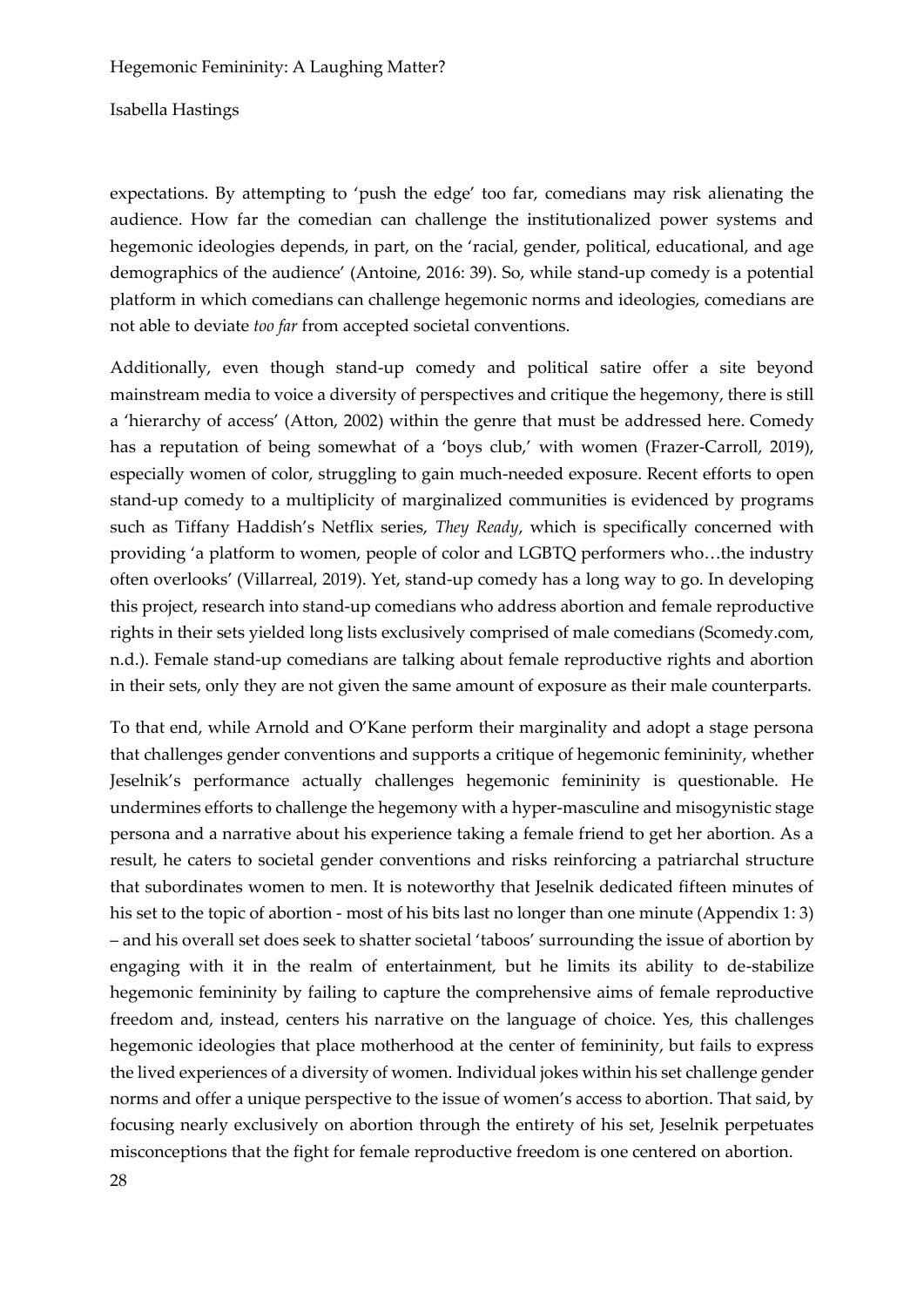Isabella Hastings

expectations. By attempting to 'push the edge' too far, comedians may risk alienating the audience. How far the comedian can challenge the institutionalized power systems and hegemonic ideologies depends, in part, on the 'racial, gender, political, educational, and age demographics of the audience' (Antoine, 2016: 39). So, while stand-up comedy is a potential platform in which comedians can challenge hegemonic norms and ideologies, comedians are not able to deviate *too far* from accepted societal conventions.

Additionally, even though stand-up comedy and political satire offer a site beyond mainstream media to voice a diversity of perspectives and critique the hegemony, there is still a 'hierarchy of access' (Atton, 2002) within the genre that must be addressed here. Comedy has a reputation of being somewhat of a 'boys club,' with women (Frazer-Carroll, 2019), especially women of color, struggling to gain much-needed exposure. Recent efforts to open stand-up comedy to a multiplicity of marginalized communities is evidenced by programs such as Tiffany Haddish's Netflix series, *They Ready*, which is specifically concerned with providing 'a platform to women, people of color and LGBTQ performers who…the industry often overlooks' (Villarreal, 2019). Yet, stand-up comedy has a long way to go. In developing this project, research into stand-up comedians who address abortion and female reproductive rights in their sets yielded long lists exclusively comprised of male comedians (Scomedy.com, n.d.). Female stand-up comedians are talking about female reproductive rights and abortion in their sets, only they are not given the same amount of exposure as their male counterparts.

To that end, while Arnold and O'Kane perform their marginality and adopt a stage persona that challenges gender conventions and supports a critique of hegemonic femininity, whether Jeselnik's performance actually challenges hegemonic femininity is questionable. He undermines efforts to challenge the hegemony with a hyper-masculine and misogynistic stage persona and a narrative about his experience taking a female friend to get her abortion. As a result, he caters to societal gender conventions and risks reinforcing a patriarchal structure that subordinates women to men. It is noteworthy that Jeselnik dedicated fifteen minutes of his set to the topic of abortion - most of his bits last no longer than one minute (Appendix 1: 3) – and his overall set does seek to shatter societal 'taboos' surrounding the issue of abortion by engaging with it in the realm of entertainment, but he limits its ability to de-stabilize hegemonic femininity by failing to capture the comprehensive aims of female reproductive freedom and, instead, centers his narrative on the language of choice. Yes, this challenges hegemonic ideologies that place motherhood at the center of femininity, but fails to express the lived experiences of a diversity of women. Individual jokes within his set challenge gender norms and offer a unique perspective to the issue of women's access to abortion. That said, by focusing nearly exclusively on abortion through the entirety of his set, Jeselnik perpetuates misconceptions that the fight for female reproductive freedom is one centered on abortion.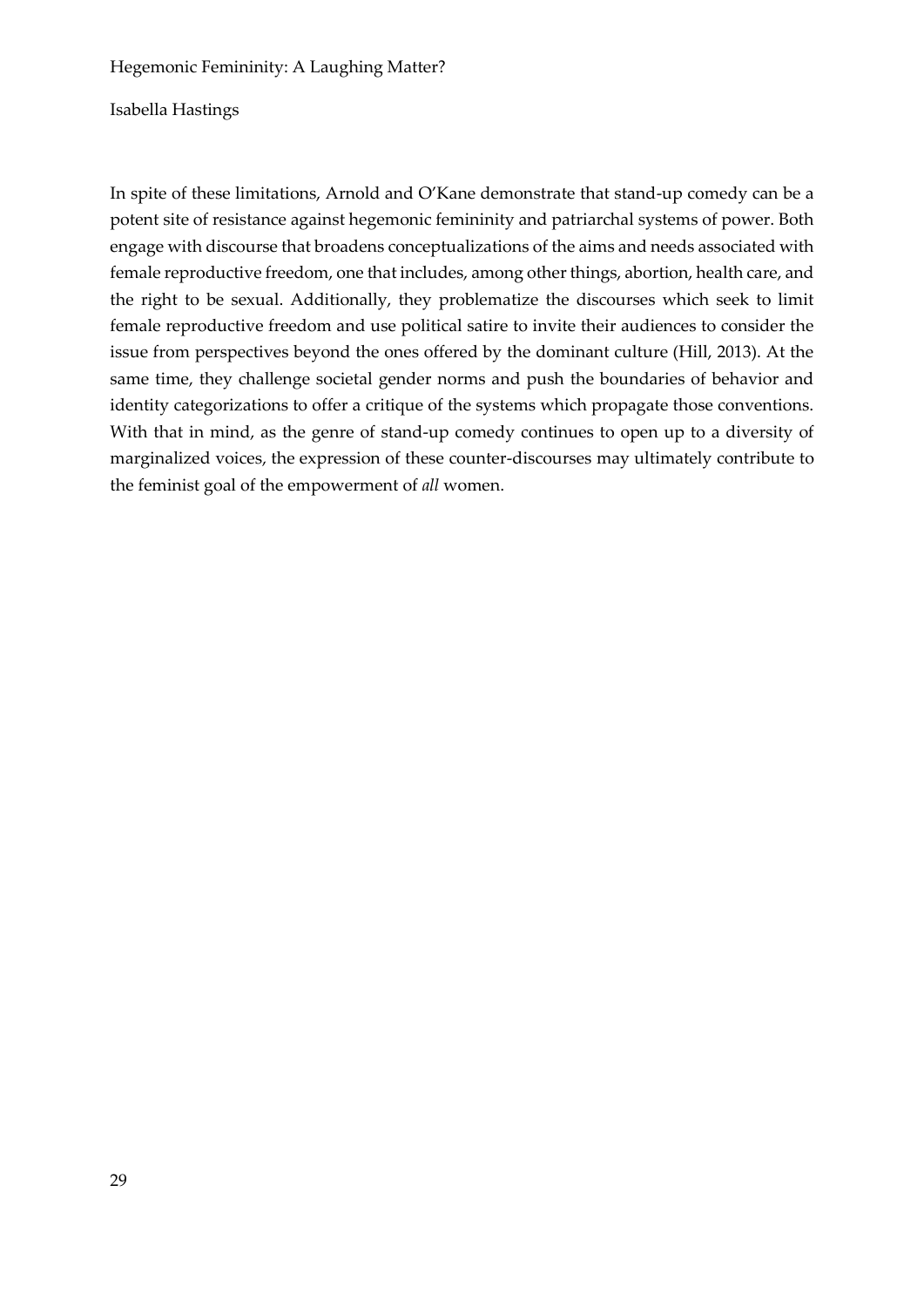Isabella Hastings

In spite of these limitations, Arnold and O'Kane demonstrate that stand-up comedy can be a potent site of resistance against hegemonic femininity and patriarchal systems of power. Both engage with discourse that broadens conceptualizations of the aims and needs associated with female reproductive freedom, one that includes, among other things, abortion, health care, and the right to be sexual. Additionally, they problematize the discourses which seek to limit female reproductive freedom and use political satire to invite their audiences to consider the issue from perspectives beyond the ones offered by the dominant culture (Hill, 2013). At the same time, they challenge societal gender norms and push the boundaries of behavior and identity categorizations to offer a critique of the systems which propagate those conventions. With that in mind, as the genre of stand-up comedy continues to open up to a diversity of marginalized voices, the expression of these counter-discourses may ultimately contribute to the feminist goal of the empowerment of *all* women.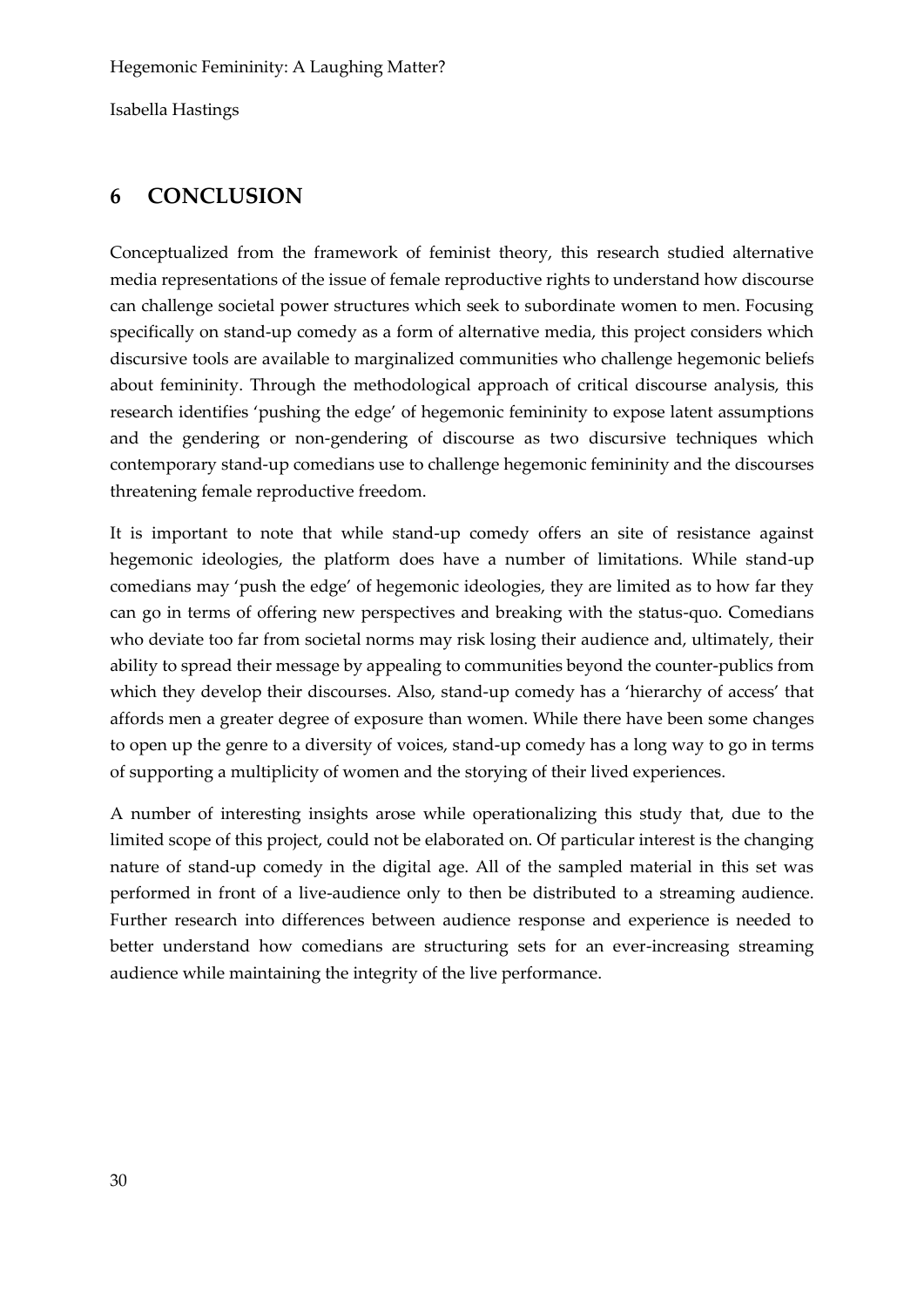# **6 CONCLUSION**

Conceptualized from the framework of feminist theory, this research studied alternative media representations of the issue of female reproductive rights to understand how discourse can challenge societal power structures which seek to subordinate women to men. Focusing specifically on stand-up comedy as a form of alternative media, this project considers which discursive tools are available to marginalized communities who challenge hegemonic beliefs about femininity. Through the methodological approach of critical discourse analysis, this research identifies 'pushing the edge' of hegemonic femininity to expose latent assumptions and the gendering or non-gendering of discourse as two discursive techniques which contemporary stand-up comedians use to challenge hegemonic femininity and the discourses threatening female reproductive freedom.

It is important to note that while stand-up comedy offers an site of resistance against hegemonic ideologies, the platform does have a number of limitations. While stand-up comedians may 'push the edge' of hegemonic ideologies, they are limited as to how far they can go in terms of offering new perspectives and breaking with the status-quo. Comedians who deviate too far from societal norms may risk losing their audience and, ultimately, their ability to spread their message by appealing to communities beyond the counter-publics from which they develop their discourses. Also, stand-up comedy has a 'hierarchy of access' that affords men a greater degree of exposure than women. While there have been some changes to open up the genre to a diversity of voices, stand-up comedy has a long way to go in terms of supporting a multiplicity of women and the storying of their lived experiences.

A number of interesting insights arose while operationalizing this study that, due to the limited scope of this project, could not be elaborated on. Of particular interest is the changing nature of stand-up comedy in the digital age. All of the sampled material in this set was performed in front of a live-audience only to then be distributed to a streaming audience. Further research into differences between audience response and experience is needed to better understand how comedians are structuring sets for an ever-increasing streaming audience while maintaining the integrity of the live performance.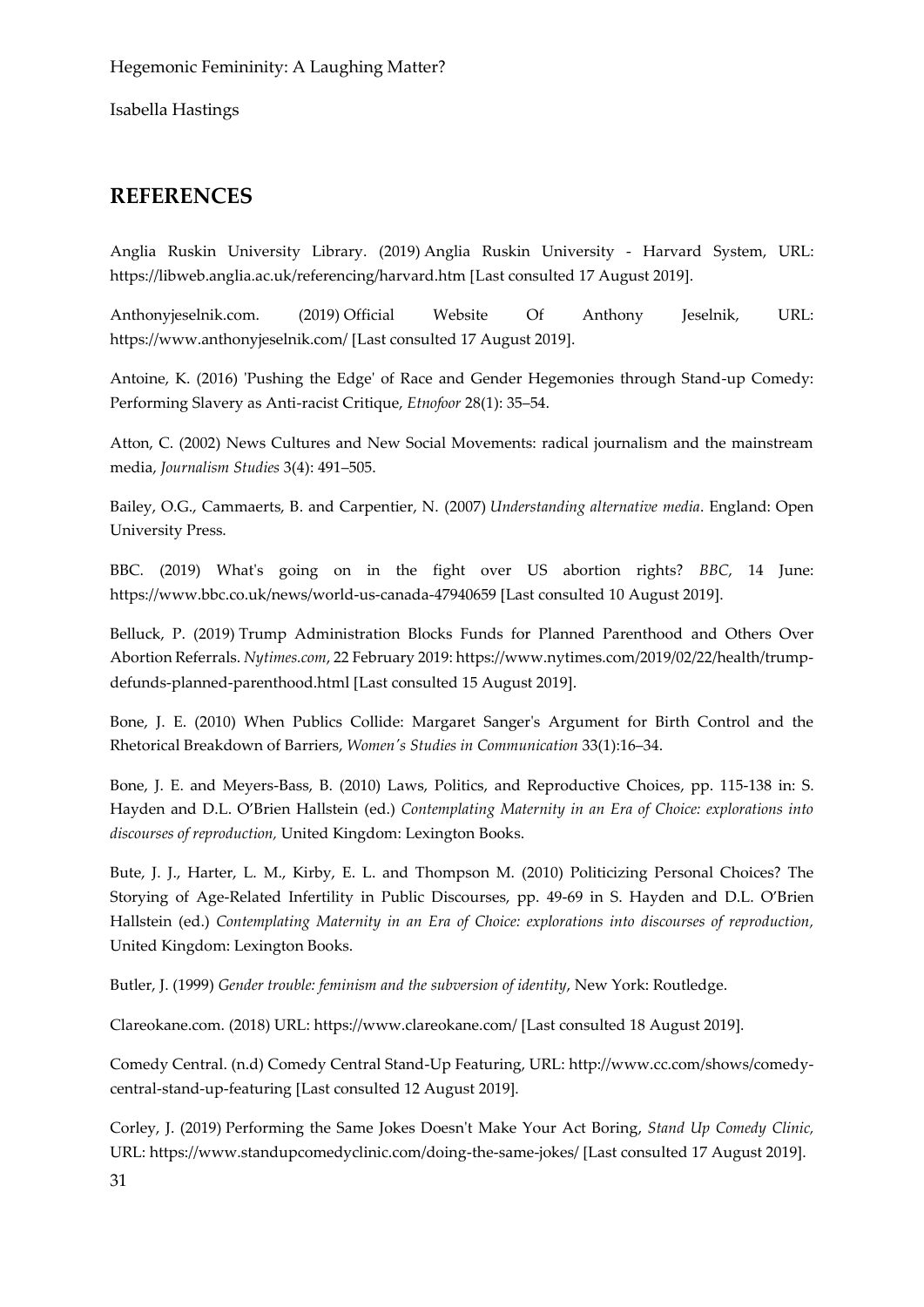# **REFERENCES**

Anglia Ruskin University Library. (2019) Anglia Ruskin University - Harvard System, URL: https://libweb.anglia.ac.uk/referencing/harvard.htm [Last consulted 17 August 2019].

Anthonyjeselnik.com. (2019) Official Website Of Anthony Jeselnik, URL: https://www.anthonyjeselnik.com/ [Last consulted 17 August 2019].

Antoine, K. (2016) 'Pushing the Edge' of Race and Gender Hegemonies through Stand-up Comedy: Performing Slavery as Anti-racist Critique, *Etnofoor* 28(1): 35–54.

Atton, C. (2002) News Cultures and New Social Movements: radical journalism and the mainstream media, *Journalism Studies* 3(4): 491–505.

Bailey, O.G., Cammaerts, B. and Carpentier, N. (2007) *Understanding alternative media*. England: Open University Press.

BBC. (2019) What's going on in the fight over US abortion rights? *BBC*, 14 June: https://www.bbc.co.uk/news/world-us-canada-47940659 [Last consulted 10 August 2019].

Belluck, P. (2019) Trump Administration Blocks Funds for Planned Parenthood and Others Over Abortion Referrals. *Nytimes.com*, 22 February 2019: https://www.nytimes.com/2019/02/22/health/trumpdefunds-planned-parenthood.html [Last consulted 15 August 2019].

Bone, J. E. (2010) When Publics Collide: Margaret Sanger's Argument for Birth Control and the Rhetorical Breakdown of Barriers, *Women's Studies in Communication* 33(1):16–34.

Bone, J. E. and Meyers-Bass, B. (2010) Laws, Politics, and Reproductive Choices, pp. 115-138 in: S. Hayden and D.L. O'Brien Hallstein (ed.) *Contemplating Maternity in an Era of Choice: explorations into discourses of reproduction,* United Kingdom: Lexington Books.

Bute, J. J., Harter, L. M., Kirby, E. L. and Thompson M. (2010) Politicizing Personal Choices? The Storying of Age-Related Infertility in Public Discourses, pp. 49-69 in S. Hayden and D.L. O'Brien Hallstein (ed.) *Contemplating Maternity in an Era of Choice: explorations into discourses of reproduction,* United Kingdom: Lexington Books.

Butler, J. (1999) *Gender trouble: feminism and the subversion of identity*, New York: Routledge.

Clareokane.com. (2018) URL: https://www.clareokane.com/ [Last consulted 18 August 2019].

Comedy Central. (n.d) Comedy Central Stand-Up Featuring, URL: http://www.cc.com/shows/comedycentral-stand-up-featuring [Last consulted 12 August 2019].

Corley, J. (2019) Performing the Same Jokes Doesn't Make Your Act Boring, *Stand Up Comedy Clinic,* URL: https://www.standupcomedyclinic.com/doing-the-same-jokes/ [Last consulted 17 August 2019].

31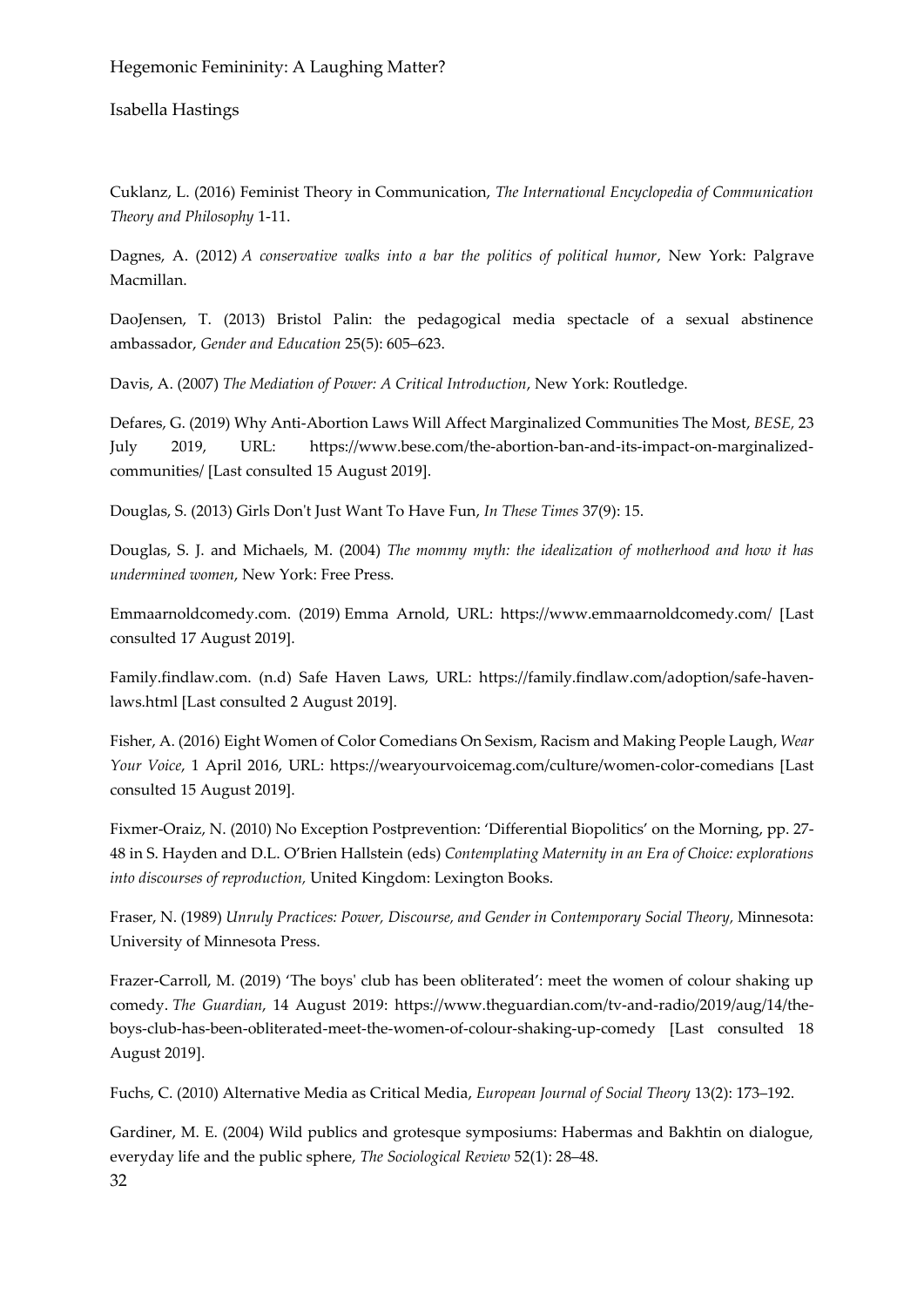Isabella Hastings

Cuklanz, L. (2016) Feminist Theory in Communication, *The International Encyclopedia of Communication Theory and Philosophy* 1-11.

Dagnes, A. (2012) *A conservative walks into a bar the politics of political humor*, New York: Palgrave Macmillan.

DaoJensen, T. (2013) Bristol Palin: the pedagogical media spectacle of a sexual abstinence ambassador, *Gender and Education* 25(5): 605–623.

Davis, A. (2007) *The Mediation of Power: A Critical Introduction*, New York: Routledge.

Defares, G. (2019) Why Anti-Abortion Laws Will Affect Marginalized Communities The Most, *BESE,* 23 July 2019, URL: https://www.bese.com/the-abortion-ban-and-its-impact-on-marginalizedcommunities/ [Last consulted 15 August 2019].

Douglas, S. (2013) Girls Don't Just Want To Have Fun, *In These Times* 37(9): 15.

Douglas, S. J. and Michaels, M. (2004) *The mommy myth: the idealization of motherhood and how it has undermined women*, New York: Free Press.

Emmaarnoldcomedy.com. (2019) Emma Arnold, URL: https://www.emmaarnoldcomedy.com/ [Last consulted 17 August 2019].

Family.findlaw.com. (n.d) Safe Haven Laws, URL: https://family.findlaw.com/adoption/safe-havenlaws.html [Last consulted 2 August 2019].

Fisher, A. (2016) Eight Women of Color Comedians On Sexism, Racism and Making People Laugh, *Wear Your Voice*, 1 April 2016, URL: https://wearyourvoicemag.com/culture/women-color-comedians [Last consulted 15 August 2019].

Fixmer-Oraiz, N. (2010) No Exception Postprevention: 'Differential Biopolitics' on the Morning, pp. 27- 48 in S. Hayden and D.L. O'Brien Hallstein (eds) *Contemplating Maternity in an Era of Choice: explorations into discourses of reproduction,* United Kingdom: Lexington Books.

Fraser, N. (1989) *Unruly Practices: Power, Discourse, and Gender in Contemporary Social Theory,* Minnesota: University of Minnesota Press.

Frazer-Carroll, M. (2019) 'The boys' club has been obliterated': meet the women of colour shaking up comedy. *The Guardian*, 14 August 2019: https://www.theguardian.com/tv-and-radio/2019/aug/14/theboys-club-has-been-obliterated-meet-the-women-of-colour-shaking-up-comedy [Last consulted 18 August 2019].

Fuchs, C. (2010) Alternative Media as Critical Media, *European Journal of Social Theory* 13(2): 173–192.

32 Gardiner, M. E. (2004) Wild publics and grotesque symposiums: Habermas and Bakhtin on dialogue, everyday life and the public sphere, *The Sociological Review* 52(1): 28–48.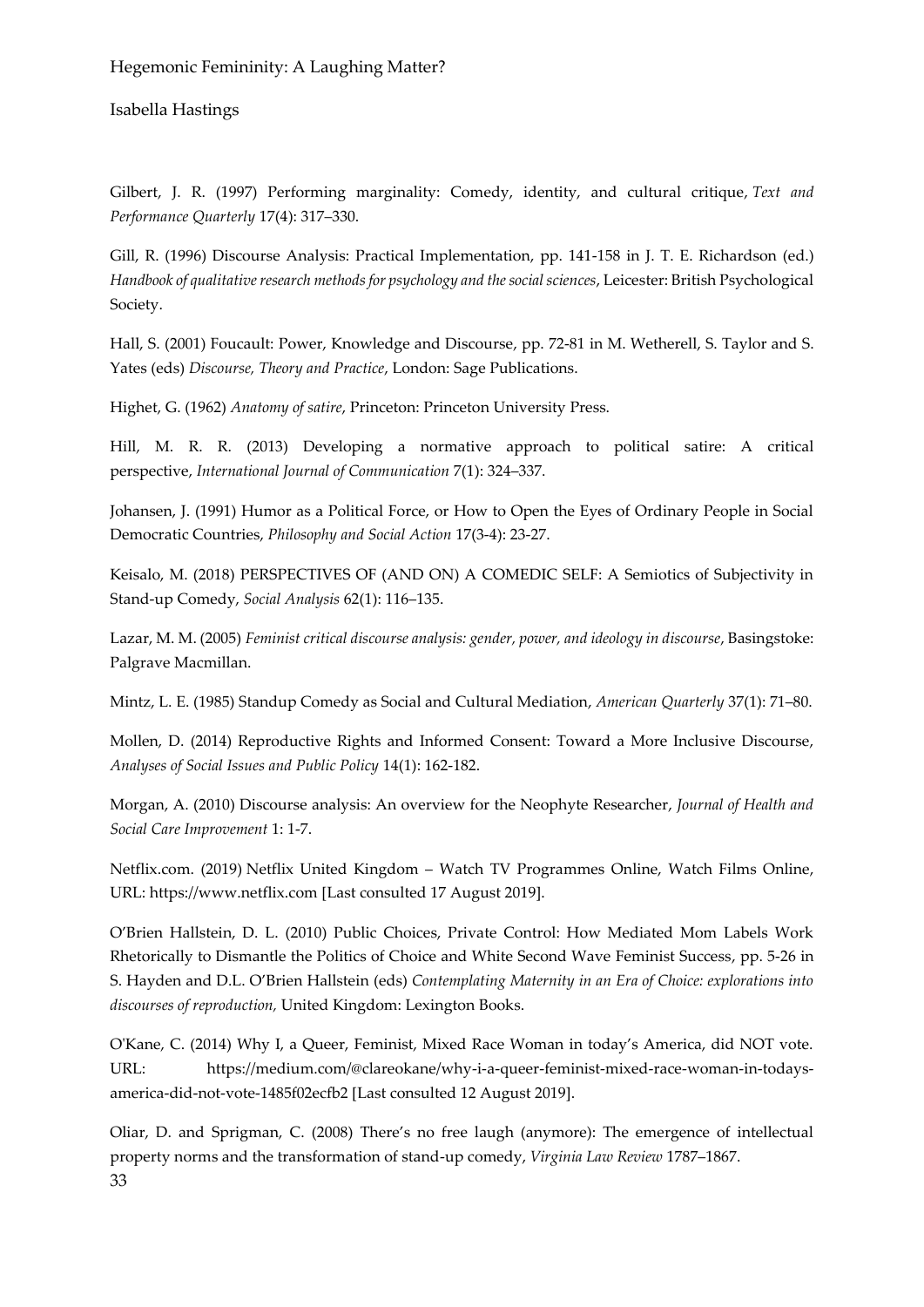Isabella Hastings

Gilbert, J. R. (1997) Performing marginality: Comedy, identity, and cultural critique, *Text and Performance Quarterly* 17(4): 317–330.

Gill, R. (1996) Discourse Analysis: Practical Implementation, pp. 141-158 in J. T. E. Richardson (ed.) *Handbook of qualitative research methods for psychology and the social sciences*, Leicester: British Psychological Society.

Hall, S. (2001) Foucault: Power, Knowledge and Discourse, pp. 72-81 in M. Wetherell, S. Taylor and S. Yates (eds) *Discourse, Theory and Practice*, London: Sage Publications.

Highet, G. (1962) *Anatomy of satire*, Princeton: Princeton University Press.

Hill, M. R. R. (2013) Developing a normative approach to political satire: A critical perspective, *International Journal of Communication* 7(1): 324–337.

Johansen, J. (1991) Humor as a Political Force, or How to Open the Eyes of Ordinary People in Social Democratic Countries, *Philosophy and Social Action* 17(3-4): 23-27.

Keisalo, M. (2018) PERSPECTIVES OF (AND ON) A COMEDIC SELF: A Semiotics of Subjectivity in Stand-up Comedy, *Social Analysis* 62(1): 116–135.

Lazar, M. M. (2005) Feminist critical discourse analysis: gender, power, and ideology in discourse, Basingstoke: Palgrave Macmillan.

Mintz, L. E. (1985) Standup Comedy as Social and Cultural Mediation, *American Quarterly* 37(1): 71–80.

Mollen, D. (2014) Reproductive Rights and Informed Consent: Toward a More Inclusive Discourse, *Analyses of Social Issues and Public Policy* 14(1): 162-182.

Morgan, A. (2010) Discourse analysis: An overview for the Neophyte Researcher, *Journal of Health and Social Care Improvement* 1: 1-7.

Netflix.com. (2019) Netflix United Kingdom – Watch TV Programmes Online, Watch Films Online, URL: https://www.netflix.com [Last consulted 17 August 2019].

O'Brien Hallstein, D. L. (2010) Public Choices, Private Control: How Mediated Mom Labels Work Rhetorically to Dismantle the Politics of Choice and White Second Wave Feminist Success, pp. 5-26 in S. Hayden and D.L. O'Brien Hallstein (eds) *Contemplating Maternity in an Era of Choice: explorations into discourses of reproduction,* United Kingdom: Lexington Books.

O'Kane, C. (2014) Why I, a Queer, Feminist, Mixed Race Woman in today's America, did NOT vote. URL: https://medium.com/@clareokane/why-i-a-queer-feminist-mixed-race-woman-in-todaysamerica-did-not-vote-1485f02ecfb2 [Last consulted 12 August 2019].

33 Oliar, D. and Sprigman, C. (2008) There's no free laugh (anymore): The emergence of intellectual property norms and the transformation of stand-up comedy, *Virginia Law Review* 1787–1867.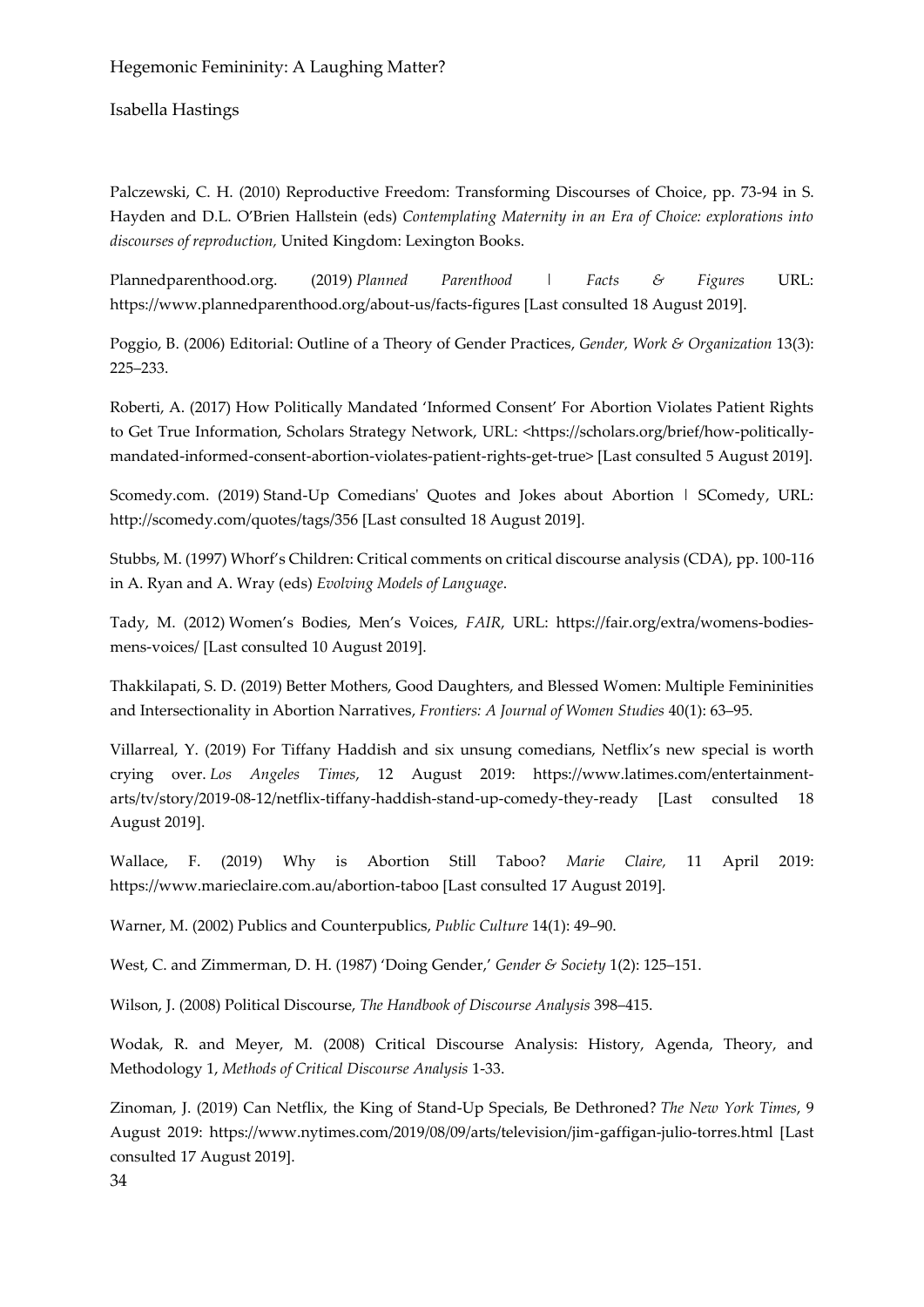Isabella Hastings

Palczewski, C. H. (2010) Reproductive Freedom: Transforming Discourses of Choice, pp. 73-94 in S. Hayden and D.L. O'Brien Hallstein (eds) *Contemplating Maternity in an Era of Choice: explorations into discourses of reproduction,* United Kingdom: Lexington Books.

Plannedparenthood.org. (2019) *Planned Parenthood | Facts & Figures* URL: https://www.plannedparenthood.org/about-us/facts-figures [Last consulted 18 August 2019].

Poggio, B. (2006) Editorial: Outline of a Theory of Gender Practices, *Gender, Work & Organization* 13(3): 225–233.

Roberti, A. (2017) How Politically Mandated 'Informed Consent' For Abortion Violates Patient Rights to Get True Information, Scholars Strategy Network, URL: <https://scholars.org/brief/how-politicallymandated-informed-consent-abortion-violates-patient-rights-get-true> [Last consulted 5 August 2019].

Scomedy.com. (2019) Stand-Up Comedians' Quotes and Jokes about Abortion | SComedy, URL: http://scomedy.com/quotes/tags/356 [Last consulted 18 August 2019].

Stubbs, M. (1997) Whorf's Children: Critical comments on critical discourse analysis (CDA), pp. 100-116 in A. Ryan and A. Wray (eds) *Evolving Models of Language*.

Tady, M. (2012) Women's Bodies, Men's Voices, *FAIR*, URL: https://fair.org/extra/womens-bodiesmens-voices/ [Last consulted 10 August 2019].

Thakkilapati, S. D. (2019) Better Mothers, Good Daughters, and Blessed Women: Multiple Femininities and Intersectionality in Abortion Narratives, *Frontiers: A Journal of Women Studies* 40(1): 63–95.

Villarreal, Y. (2019) For Tiffany Haddish and six unsung comedians, Netflix's new special is worth crying over. *Los Angeles Times*, 12 August 2019: https://www.latimes.com/entertainmentarts/tv/story/2019-08-12/netflix-tiffany-haddish-stand-up-comedy-they-ready [Last consulted 18 August 2019].

Wallace, F. (2019) Why is Abortion Still Taboo? *Marie Claire,* 11 April 2019: https://www.marieclaire.com.au/abortion-taboo [Last consulted 17 August 2019].

Warner, M. (2002) Publics and Counterpublics, *Public Culture* 14(1): 49–90.

West, C. and Zimmerman, D. H. (1987) 'Doing Gender,' *Gender & Society* 1(2): 125–151.

Wilson, J. (2008) Political Discourse, *The Handbook of Discourse Analysis* 398–415.

Wodak, R. and Meyer, M. (2008) Critical Discourse Analysis: History, Agenda, Theory, and Methodology 1, *Methods of Critical Discourse Analysis* 1-33.

Zinoman, J. (2019) Can Netflix, the King of Stand-Up Specials, Be Dethroned? *The New York Times*, 9 August 2019: https://www.nytimes.com/2019/08/09/arts/television/jim-gaffigan-julio-torres.html [Last consulted 17 August 2019].

34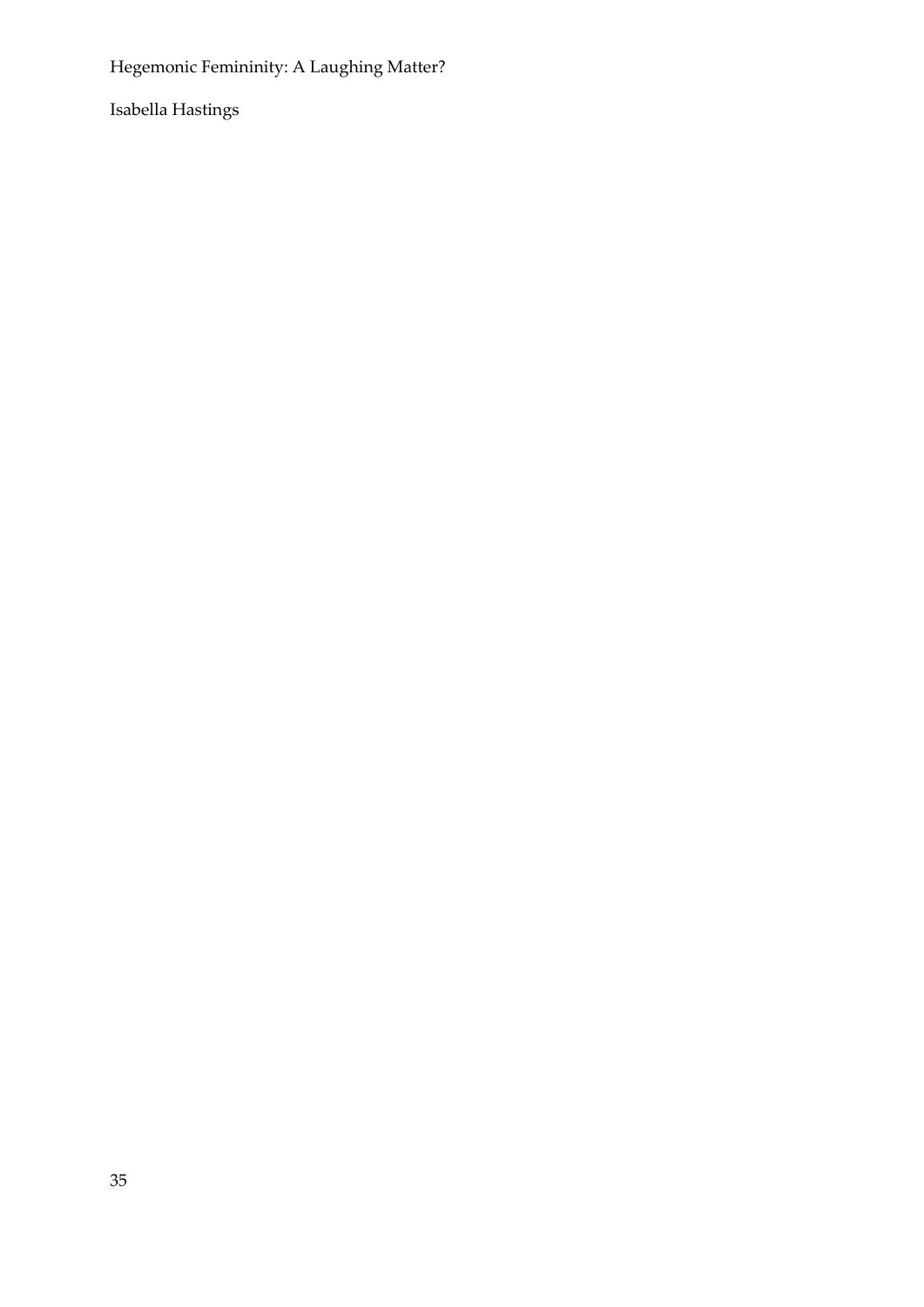Isabella Hastings